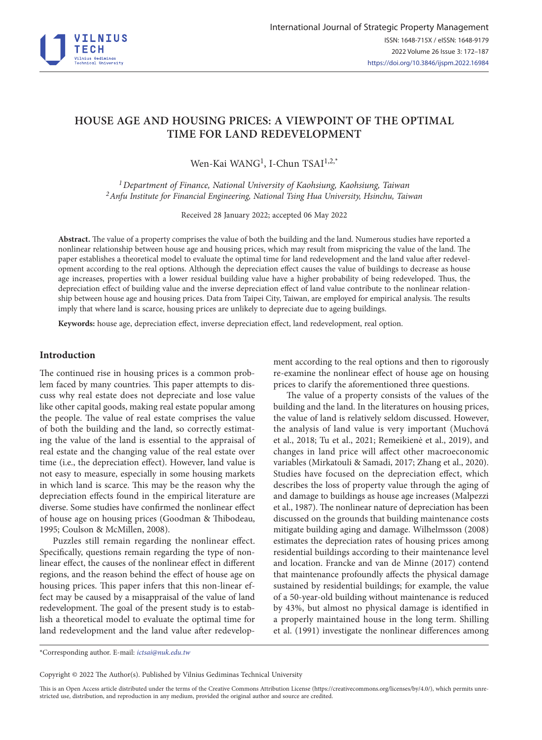

# **HOUSE AGE AND HOUSING PRICES: A VIEWPOINT OF THE OPTIMAL TIME FOR LAND REDEVELOPMENT**

Wen-Kai WANG<sup>1</sup>, I-Chun TSAI<sup>1,2,\*</sup>

*1Department of Finance, National University of Kaohsiung, Kaohsiung, Taiwan 2Anfu Institute for Financial Engineering, National Tsing Hua University, Hsinchu, Taiwan*

Received 28 January 2022; accepted 06 May 2022

**Abstract.** The value of a property comprises the value of both the building and the land. Numerous studies have reported a nonlinear relationship between house age and housing prices, which may result from mispricing the value of the land. The paper establishes a theoretical model to evaluate the optimal time for land redevelopment and the land value after redevelopment according to the real options. Although the depreciation effect causes the value of buildings to decrease as house age increases, properties with a lower residual building value have a higher probability of being redeveloped. Thus, the depreciation effect of building value and the inverse depreciation effect of land value contribute to the nonlinear relationship between house age and housing prices. Data from Taipei City, Taiwan, are employed for empirical analysis. The results imply that where land is scarce, housing prices are unlikely to depreciate due to ageing buildings.

**Keywords:** house age, depreciation effect, inverse depreciation effect, land redevelopment, real option.

## **Introduction**

The continued rise in housing prices is a common problem faced by many countries. This paper attempts to discuss why real estate does not depreciate and lose value like other capital goods, making real estate popular among the people. The value of real estate comprises the value of both the building and the land, so correctly estimating the value of the land is essential to the appraisal of real estate and the changing value of the real estate over time (i.e., the depreciation effect). However, land value is not easy to measure, especially in some housing markets in which land is scarce. This may be the reason why the depreciation effects found in the empirical literature are diverse. Some studies have confirmed the nonlinear effect of house age on housing prices (Goodman & Thibodeau, 1995; Coulson & McMillen, 2008).

Puzzles still remain regarding the nonlinear effect. Specifically, questions remain regarding the type of nonlinear effect, the causes of the nonlinear effect in different regions, and the reason behind the effect of house age on housing prices. This paper infers that this non-linear effect may be caused by a misappraisal of the value of land redevelopment. The goal of the present study is to establish a theoretical model to evaluate the optimal time for land redevelopment and the land value after redevelopment according to the real options and then to rigorously re-examine the nonlinear effect of house age on housing prices to clarify the aforementioned three questions.

The value of a property consists of the values of the building and the land. In the literatures on housing prices, the value of land is relatively seldom discussed. However, the analysis of land value is very important (Muchová et al., 2018; Tu et al., 2021; Remeikienė et al., 2019), and changes in land price will affect other macroeconomic variables (Mirkatouli & Samadi, 2017; Zhang et al., 2020). Studies have focused on the depreciation effect, which describes the loss of property value through the aging of and damage to buildings as house age increases (Malpezzi et al., 1987). The nonlinear nature of depreciation has been discussed on the grounds that building maintenance costs mitigate building aging and damage. Wilhelmsson (2008) estimates the depreciation rates of housing prices among residential buildings according to their maintenance level and location. Francke and van de Minne (2017) contend that maintenance profoundly affects the physical damage sustained by residential buildings; for example, the value of a 50-year-old building without maintenance is reduced by 43%, but almost no physical damage is identified in a properly maintained house in the long term. Shilling et al. (1991) investigate the nonlinear differences among

Copyright © 2022 The Author(s). Published by Vilnius Gediminas Technical University

This is an Open Access article distributed under the terms of the Creative Commons Attribution License [\(https://creativecommons.org/licenses/by/4.0/\)](http://creativecommons.org/licenses/by/4.0/), which permits unrestricted use, distribution, and reproduction in any medium, provided the original author and source are credited.

<sup>\*</sup>Corresponding author. E-mail: *ictsai@nuk.edu.tw*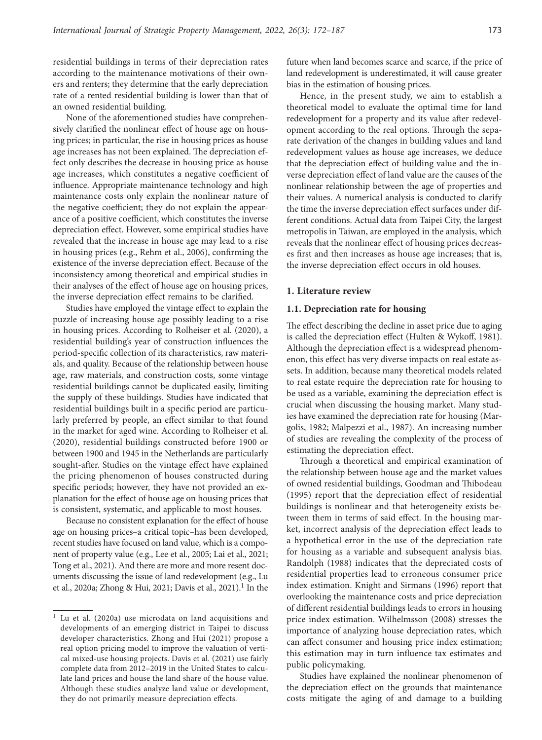residential buildings in terms of their depreciation rates according to the maintenance motivations of their owners and renters; they determine that the early depreciation rate of a rented residential building is lower than that of an owned residential building.

None of the aforementioned studies have comprehensively clarified the nonlinear effect of house age on housing prices; in particular, the rise in housing prices as house age increases has not been explained. The depreciation effect only describes the decrease in housing price as house age increases, which constitutes a negative coefficient of influence. Appropriate maintenance technology and high maintenance costs only explain the nonlinear nature of the negative coefficient; they do not explain the appearance of a positive coefficient, which constitutes the inverse depreciation effect. However, some empirical studies have revealed that the increase in house age may lead to a rise in housing prices (e.g., Rehm et al., 2006), confirming the existence of the inverse depreciation effect. Because of the inconsistency among theoretical and empirical studies in their analyses of the effect of house age on housing prices, the inverse depreciation effect remains to be clarified.

Studies have employed the vintage effect to explain the puzzle of increasing house age possibly leading to a rise in housing prices. According to Rolheiser et al. (2020), a residential building's year of construction influences the period-specific collection of its characteristics, raw materials, and quality. Because of the relationship between house age, raw materials, and construction costs, some vintage residential buildings cannot be duplicated easily, limiting the supply of these buildings. Studies have indicated that residential buildings built in a specific period are particularly preferred by people, an effect similar to that found in the market for aged wine. According to Rolheiser et al. (2020), residential buildings constructed before 1900 or between 1900 and 1945 in the Netherlands are particularly sought-after. Studies on the vintage effect have explained the pricing phenomenon of houses constructed during specific periods; however, they have not provided an explanation for the effect of house age on housing prices that is consistent, systematic, and applicable to most houses.

Because no consistent explanation for the effect of house age on housing prices–a critical topic–has been developed, recent studies have focused on land value, which is a component of property value (e.g., Lee et al., 2005; Lai et al., 2021; Tong et al., 2021). And there are more and more resent documents discussing the issue of land redevelopment (e.g., Lu et al., 2020a; Zhong & Hui, 2021; Davis et al., 2021).<sup>1</sup> In the future when land becomes scarce and scarce, if the price of land redevelopment is underestimated, it will cause greater bias in the estimation of housing prices.

Hence, in the present study, we aim to establish a theoretical model to evaluate the optimal time for land redevelopment for a property and its value after redevelopment according to the real options. Through the separate derivation of the changes in building values and land redevelopment values as house age increases, we deduce that the depreciation effect of building value and the inverse depreciation effect of land value are the causes of the nonlinear relationship between the age of properties and their values. A numerical analysis is conducted to clarify the time the inverse depreciation effect surfaces under different conditions. Actual data from Taipei City, the largest metropolis in Taiwan, are employed in the analysis, which reveals that the nonlinear effect of housing prices decreases first and then increases as house age increases; that is, the inverse depreciation effect occurs in old houses.

## **1. Literature review**

#### **1.1. Depreciation rate for housing**

The effect describing the decline in asset price due to aging is called the depreciation effect (Hulten & Wykoff, 1981). Although the depreciation effect is a widespread phenomenon, this effect has very diverse impacts on real estate assets. In addition, because many theoretical models related to real estate require the depreciation rate for housing to be used as a variable, examining the depreciation effect is crucial when discussing the housing market. Many studies have examined the depreciation rate for housing (Margolis, 1982; Malpezzi et al., 1987). An increasing number of studies are revealing the complexity of the process of estimating the depreciation effect.

Through a theoretical and empirical examination of the relationship between house age and the market values of owned residential buildings, Goodman and Thibodeau (1995) report that the depreciation effect of residential buildings is nonlinear and that heterogeneity exists between them in terms of said effect. In the housing market, incorrect analysis of the depreciation effect leads to a hypothetical error in the use of the depreciation rate for housing as a variable and subsequent analysis bias. Randolph (1988) indicates that the depreciated costs of residential properties lead to erroneous consumer price index estimation. Knight and Sirmans (1996) report that overlooking the maintenance costs and price depreciation of different residential buildings leads to errors in housing price index estimation. Wilhelmsson (2008) stresses the importance of analyzing house depreciation rates, which can affect consumer and housing price index estimation; this estimation may in turn influence tax estimates and public policymaking.

Studies have explained the nonlinear phenomenon of the depreciation effect on the grounds that maintenance costs mitigate the aging of and damage to a building

<sup>&</sup>lt;sup>1</sup> Lu et al. (2020a) use microdata on land acquisitions and developments of an emerging district in Taipei to discuss developer characteristics. Zhong and Hui (2021) propose a real option pricing model to improve the valuation of vertical mixed-use housing projects. Davis et al. (2021) use fairly complete data from 2012–2019 in the United States to calculate land prices and house the land share of the house value. Although these studies analyze land value or development, they do not primarily measure depreciation effects.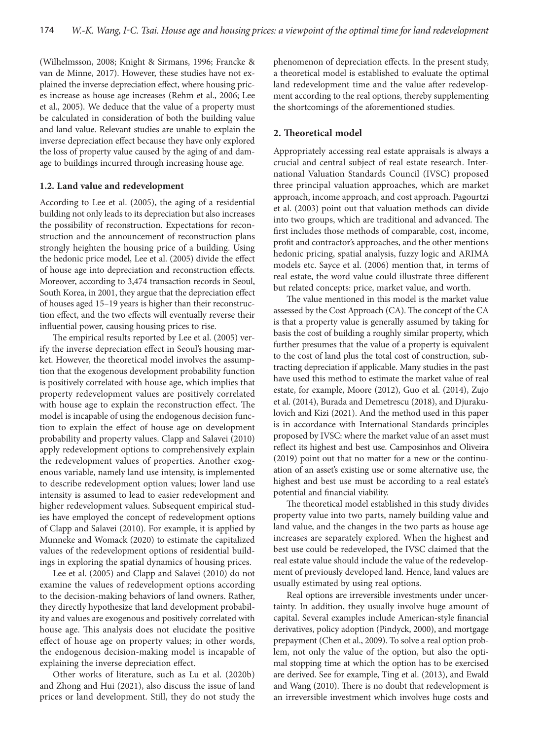(Wilhelmsson, 2008; Knight & Sirmans, 1996; Francke & van de Minne, 2017). However, these studies have not explained the inverse depreciation effect, where housing prices increase as house age increases (Rehm et al., 2006; Lee et al., 2005). We deduce that the value of a property must be calculated in consideration of both the building value and land value. Relevant studies are unable to explain the inverse depreciation effect because they have only explored the loss of property value caused by the aging of and damage to buildings incurred through increasing house age.

#### **1.2. Land value and redevelopment**

According to Lee et al. (2005), the aging of a residential building not only leads to its depreciation but also increases the possibility of reconstruction. Expectations for reconstruction and the announcement of reconstruction plans strongly heighten the housing price of a building. Using the hedonic price model, Lee et al. (2005) divide the effect of house age into depreciation and reconstruction effects. Moreover, according to 3,474 transaction records in Seoul, South Korea, in 2001, they argue that the depreciation effect of houses aged 15–19 years is higher than their reconstruction effect, and the two effects will eventually reverse their influential power, causing housing prices to rise.

The empirical results reported by Lee et al. (2005) verify the inverse depreciation effect in Seoul's housing market. However, the theoretical model involves the assumption that the exogenous development probability function is positively correlated with house age, which implies that property redevelopment values are positively correlated with house age to explain the reconstruction effect. The model is incapable of using the endogenous decision function to explain the effect of house age on development probability and property values. Clapp and Salavei (2010) apply redevelopment options to comprehensively explain the redevelopment values of properties. Another exogenous variable, namely land use intensity, is implemented to describe redevelopment option values; lower land use intensity is assumed to lead to easier redevelopment and higher redevelopment values. Subsequent empirical studies have employed the concept of redevelopment options of Clapp and Salavei (2010). For example, it is applied by Munneke and Womack (2020) to estimate the capitalized values of the redevelopment options of residential buildings in exploring the spatial dynamics of housing prices.

Lee et al. (2005) and Clapp and Salavei (2010) do not examine the values of redevelopment options according to the decision-making behaviors of land owners. Rather, they directly hypothesize that land development probability and values are exogenous and positively correlated with house age. This analysis does not elucidate the positive effect of house age on property values; in other words, the endogenous decision-making model is incapable of explaining the inverse depreciation effect.

Other works of literature, such as Lu et al. (2020b) and Zhong and Hui (2021), also discuss the issue of land prices or land development. Still, they do not study the phenomenon of depreciation effects. In the present study, a theoretical model is established to evaluate the optimal land redevelopment time and the value after redevelopment according to the real options, thereby supplementing the shortcomings of the aforementioned studies.

# **2. Theoretical model**

Appropriately accessing real estate appraisals is always a crucial and central subject of real estate research. International Valuation Standards Council (IVSC) proposed three principal valuation approaches, which are market approach, income approach, and cost approach. Pagourtzi et al. (2003) point out that valuation methods can divide into two groups, which are traditional and advanced. The first includes those methods of comparable, cost, income, profit and contractor's approaches, and the other mentions hedonic pricing, spatial analysis, fuzzy logic and ARIMA models etc. Sayce et al. (2006) mention that, in terms of real estate, the word value could illustrate three different but related concepts: price, market value, and worth.

The value mentioned in this model is the market value assessed by the Cost Approach (CA). The concept of the CA is that a property value is generally assumed by taking for basis the cost of building a roughly similar property, which further presumes that the value of a property is equivalent to the cost of land plus the total cost of construction, subtracting depreciation if applicable. Many studies in the past have used this method to estimate the market value of real estate, for example, Moore (2012), Guo et al. (2014), Zujo et al. (2014), Burada and Demetrescu (2018), and Djurakulovich and Kizi (2021). And the method used in this paper is in accordance with International Standards principles proposed by IVSC: where the market value of an asset must reflect its highest and best use. Camposinhos and Oliveira (2019) point out that no matter for a new or the continuation of an asset's existing use or some alternative use, the highest and best use must be according to a real estate's potential and financial viability.

The theoretical model established in this study divides property value into two parts, namely building value and land value, and the changes in the two parts as house age increases are separately explored. When the highest and best use could be redeveloped, the IVSC claimed that the real estate value should include the value of the redevelopment of previously developed land. Hence, land values are usually estimated by using real options.

Real options are irreversible investments under uncertainty. In addition, they usually involve huge amount of capital. Several examples include American-style financial derivatives, policy adoption (Pindyck, 2000), and mortgage prepayment (Chen et al., 2009). To solve a real option problem, not only the value of the option, but also the optimal stopping time at which the option has to be exercised are derived. See for example, Ting et al. (2013), and Ewald and Wang (2010). There is no doubt that redevelopment is an irreversible investment which involves huge costs and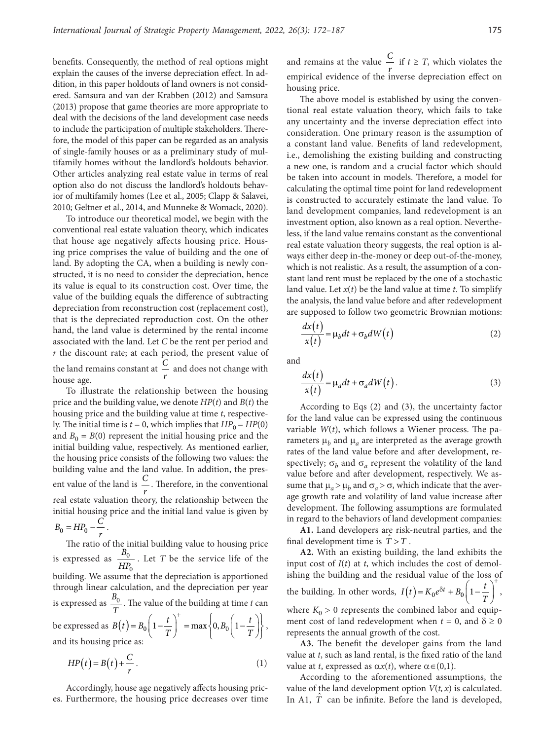benefits. Consequently, the method of real options might explain the causes of the inverse depreciation effect. In addition, in this paper holdouts of land owners is not considered. Samsura and van der Krabben (2012) and Samsura (2013) propose that game theories are more appropriate to deal with the decisions of the land development case needs to include the participation of multiple stakeholders. Therefore, the model of this paper can be regarded as an analysis of single-family houses or as a preliminary study of multifamily homes without the landlord's holdouts behavior. Other articles analyzing real estate value in terms of real option also do not discuss the landlord's holdouts behavior of multifamily homes (Lee et al., 2005; Clapp & Salavei, 2010; Geltner et al., 2014, and Munneke & Womack, 2020).

To introduce our theoretical model, we begin with the conventional real estate valuation theory, which indicates that house age negatively affects housing price. Housing price comprises the value of building and the one of land. By adopting the CA, when a building is newly constructed, it is no need to consider the depreciation, hence its value is equal to its construction cost. Over time, the value of the building equals the difference of subtracting depreciation from reconstruction cost (replacement cost), that is the depreciated reproduction cost. On the other hand, the land value is determined by the rental income associated with the land. Let *C* be the rent per period and *r* the discount rate; at each period, the present value of the land remains constant at  $\frac{C}{r}$  and does not change with house age house age.

To illustrate the relationship between the housing price and the building value, we denote *HP*(*t*) and *B*(*t*) the housing price and the building value at time *t*, respectively. The initial time is  $t = 0$ , which implies that  $HP_0 = HP(0)$ and  $B_0 = B(0)$  represent the initial housing price and the initial building value, respectively. As mentioned earlier, the housing price consists of the following two values: the building value and the land value. In addition, the present value of the land is  $\frac{C}{r}$ . Therefore, in the conventional real estate valuation theory, the relationship between the initial housing price and the initial land value is given by  $B_0 = HP_0 - \frac{C}{r}.$ 

The ratio of the initial building value to housing price is expressed as  $\frac{D_0}{\sqrt{1+\epsilon}}$ 0 *B*  $\frac{-0}{HP_0}$ . Let *T* be the service life of the building. We assume that the depreciation is apportioned through linear calculation, and the depreciation per year is expressed as  $\frac{B_0}{T}$ . The value of the building at time *t* can be expressed as  $B(t) = B_0 \left( 1 - \frac{t}{T} \right)^+ = \max \left\{ 0, B_0 \left( 1 - \frac{t}{T} \right) \right\}$ , and its housing price as:

$$
HP(t) = B(t) + \frac{C}{r} \,. \tag{1}
$$

Accordingly, house age negatively affects housing prices. Furthermore, the housing price decreases over time

and remains at the value  $\frac{C}{T}$  if  $t \geq T$ , which violates the *r* empirical evidence of the inverse depreciation effect on housing price.

The above model is established by using the conventional real estate valuation theory, which fails to take any uncertainty and the inverse depreciation effect into consideration. One primary reason is the assumption of a constant land value. Benefits of land redevelopment, i.e., demolishing the existing building and constructing a new one, is random and a crucial factor which should be taken into account in models. Therefore, a model for calculating the optimal time point for land redevelopment is constructed to accurately estimate the land value. To land development companies, land redevelopment is an investment option, also known as a real option. Nevertheless, if the land value remains constant as the conventional real estate valuation theory suggests, the real option is always either deep in-the-money or deep out-of-the-money, which is not realistic. As a result, the assumption of a constant land rent must be replaced by the one of a stochastic land value. Let  $x(t)$  be the land value at time  $t$ . To simplify the analysis, the land value before and after redevelopment are supposed to follow two geometric Brownian motions:

$$
\frac{dx(t)}{x(t)} = \mu_b dt + \sigma_b dW(t)
$$
\n(2)

and

$$
\frac{dx(t)}{x(t)} = \mu_a dt + \sigma_a dW(t). \tag{3}
$$

According to Eqs (2) and (3), the uncertainty factor for the land value can be expressed using the continuous variable *W*(*t*), which follows a Wiener process. The parameters  $\mu_b$  and  $\mu_a$  are interpreted as the average growth rates of the land value before and after development, respectively;  $\sigma_h$  and  $\sigma_a$  represent the volatility of the land value before and after development, respectively. We assume that  $\mu_a > \mu_b$  and  $\sigma_a > \sigma$ , which indicate that the average growth rate and volatility of land value increase after development. The following assumptions are formulated in regard to the behaviors of land development companies:

**A1.** Land developers are risk-neutral parties, and the final development time is  $\hat{T} > T$ .

**A2.** With an existing building, the land exhibits the input cost of  $I(t)$  at  $t$ , which includes the cost of demolishing the building and the residual value of the loss of the building. In other words,  $I(t) = K_0 e^{\delta t} + B_0 \left( 1 - \frac{t}{T} \right)$  $= K_0 e^{\delta t} + B_0 \left(1 - \frac{t}{T}\right)^4,$ where  $K_0 > 0$  represents the combined labor and equipment cost of land redevelopment when  $t = 0$ , and  $\delta \ge 0$ represents the annual growth of the cost.

**A3.** The benefit the developer gains from the land value at *t*, such as land rental, is the fixed ratio of the land value at *t*, expressed as  $\alpha x(t)$ , where  $\alpha \in (0,1)$ .

According to the aforementioned assumptions, the value of the land development option  $V(t, x)$  is calculated. In A1,  $\hat{T}$  can be infinite. Before the land is developed,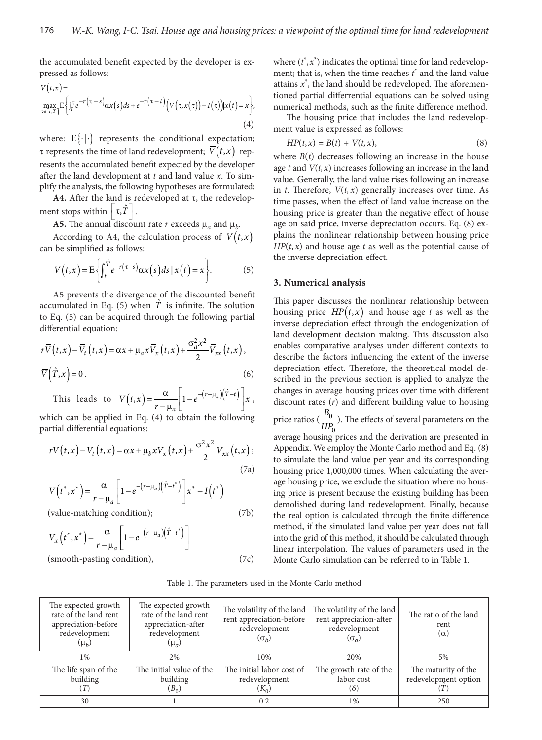the accumulated benefit expected by the developer is expressed as follows:

$$
V(t,x) = \max_{\tau \in [t,T]} E\left\{ \int_t^{\tau} e^{-r(\tau-s)} \alpha x(s) ds + e^{-r(\tau-t)} \Big( \overline{V}(\tau, x(\tau)) - I(\tau) \Big) | x(t) = x \right\},\tag{4}
$$

where:  $E\{\cdot|\cdot\}$  represents the conditional expectation;  $\tau$  represents the time of land redevelopment;  $\overline{V}(t,x)$  represents the accumulated benefit expected by the developer after the land development at *t* and land value *x*. To simplify the analysis, the following hypotheses are formulated:

A4. After the land is redeveloped at  $\tau$ , the redevelopment stops within  $|\tau, T|$ .

**A5.** The annual discount rate *r* exceeds  $\mu_a$  and  $\mu_b$ .

According to A4, the calculation process of  $V(t, x)$ can be simplified as follows:

$$
\overline{V}(t,x) = \mathcal{E}\bigg\{\int_t^{\hat{T}} e^{-r(\tau-s)} \alpha x(s) ds \,|\, x(t) = x\bigg\}.\tag{5}
$$

A5 prevents the divergence of the discounted benefit accumulated in Eq. (5) when  $\hat{T}$  is infinite. The solution to Eq. (5) can be acquired through the following partial differential equation:

$$
r\overline{V}(t,x) - \overline{V}_t(t,x) = \alpha x + \mu_a x \overline{V}_x(t,x) + \frac{\sigma_a^2 x^2}{2} \overline{V}_{xx}(t,x),
$$
  
(6)  

$$
\overline{V}(\hat{T},x) = 0.
$$

This leads to  $\overline{V}(t,x) = \frac{\alpha}{1 - e^{-(r - \mu_a)}(\hat{T} - t)}$ *a*  $\overline{V}(t,x) = \frac{\alpha}{r - \mu_a} \left[ 1 - e^{-(r - \mu_a)(\hat{T}-t)} \right] x$ 

which can be applied in Eq. (4) to obtain the following partial differential equations:

$$
rV(t,x) - V_t(t,x) = \alpha x + \mu_b x V_x(t,x) + \frac{\sigma^2 x^2}{2} V_{xx}(t,x);
$$
\n(7a)

$$
V(t^*, x^*) = \frac{\alpha}{r - \mu_a} \left[ 1 - e^{-(r - \mu_a)(\hat{T} - t^*)} \right] x^* - I(t^*)
$$

(value-matching condition); (7b)

$$
V_x(t^*, x^*) = \frac{\alpha}{r - \mu_a} \left[ 1 - e^{-(r - \mu_a)(\hat{T} - t^*)} \right]
$$
  
(smooth-pasting condition), (7c)

where  $(t^*, x^*)$  indicates the optimal time for land redevelopment; that is, when the time reaches  $t^*$  and the land value attains *x*\* , the land should be redeveloped. The aforementioned partial differrential equations can be solved using numerical methods, such as the finite difference method.

The housing price that includes the land redevelopment value is expressed as follows:

$$
HP(t,x) = B(t) + V(t,x),\tag{8}
$$

where  $B(t)$  decreases following an increase in the house age  $t$  and  $V(t, x)$  increases following an increase in the land value. Generally, the land value rises following an increase in  $t$ . Therefore,  $V(t, x)$  generally increases over time. As time passes, when the effect of land value increase on the housing price is greater than the negative effect of house age on said price, inverse depreciation occurs. Eq. (8) explains the nonlinear relationship between housing price  $HP(t, x)$  and house age *t* as well as the potential cause of the inverse depreciation effect.

# **3. Numerical analysis**

This paper discusses the nonlinear relationship between housing price  $HP(t, x)$  and house age t as well as the inverse depreciation effect through the endogenization of land development decision making. This discussion also enables comparative analyses under different contexts to describe the factors influencing the extent of the inverse depreciation effect. Therefore, the theoretical model described in the previous section is applied to analyze the changes in average housing prices over time with different discount rates (*r*) and different building value to housing price ratios  $\left(\frac{D_0}{\sqrt{1+\epsilon}}\right)$  $\mathbf 0$  $\frac{B_0}{HP_0}$ ). The effects of several parameters on the average housing prices and the derivation are presented in Appendix. We employ the Monte Carlo method and Eq. (8) to simulate the land value per year and its corresponding housing price 1,000,000 times. When calculating the average housing price, we exclude the situation where no hous-

ing price is present because the existing building has been demolished during land redevelopment. Finally, because the real option is calculated through the finite difference method, if the simulated land value per year does not fall into the grid of this method, it should be calculated through linear interpolation. The values of parameters used in the Monte Carlo simulation can be referred to in Table 1.

Table 1. The parameters used in the Monte Carlo method

| The expected growth<br>rate of the land rent<br>appreciation-before<br>redevelopment<br>$(\mu_h)$ | The expected growth<br>rate of the land rent<br>appreciation-after<br>redevelopment<br>$(\mu_a)$ | The volatility of the land<br>rent appreciation-before<br>redevelopment<br>$(\sigma_h)$ | The volatility of the land<br>rent appreciation-after<br>redevelopment<br>$(\sigma_a)$ | The ratio of the land<br>rent<br>$(\alpha)$ |
|---------------------------------------------------------------------------------------------------|--------------------------------------------------------------------------------------------------|-----------------------------------------------------------------------------------------|----------------------------------------------------------------------------------------|---------------------------------------------|
| $1\%$                                                                                             | 2%                                                                                               | 10%                                                                                     | 20%                                                                                    | 5%                                          |
| The life span of the<br>building<br>T)                                                            | The initial value of the<br>building<br>$(B_0)$                                                  | The initial labor cost of<br>redevelopment<br>$(K_0)$                                   | The growth rate of the<br>labor cost<br>(ŏ)                                            | The maturity of the<br>redevelopment option |
| 30                                                                                                |                                                                                                  | 0.2                                                                                     | $1\%$                                                                                  | 250                                         |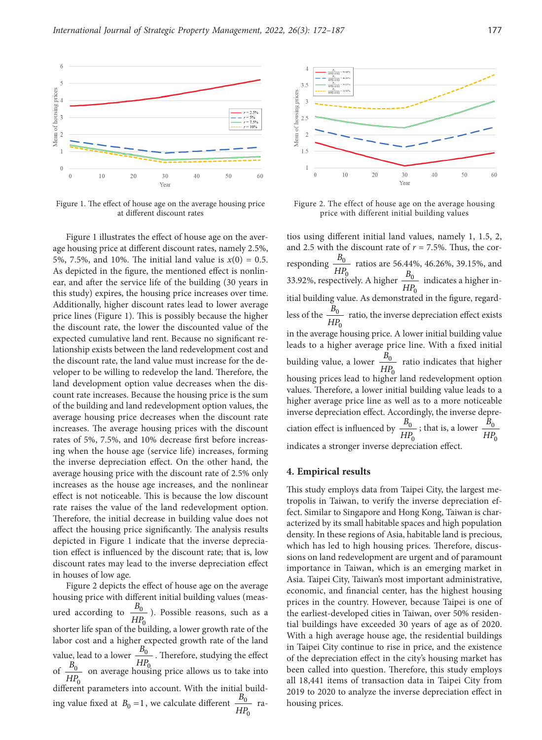

Figure 1. The effect of house age on the average housing price at different discount rates

Figure 1 illustrates the effect of house age on the average housing price at different discount rates, namely 2.5%, 5%, 7.5%, and 10%. The initial land value is  $x(0) = 0.5$ . As depicted in the figure, the mentioned effect is nonlinear, and after the service life of the building (30 years in this study) expires, the housing price increases over time. Additionally, higher discount rates lead to lower average price lines (Figure 1). This is possibly because the higher the discount rate, the lower the discounted value of the expected cumulative land rent. Because no significant relationship exists between the land redevelopment cost and the discount rate, the land value must increase for the developer to be willing to redevelop the land. Therefore, the land development option value decreases when the discount rate increases. Because the housing price is the sum of the building and land redevelopment option values, the average housing price decreases when the discount rate increases. The average housing prices with the discount rates of 5%, 7.5%, and 10% decrease first before increasing when the house age (service life) increases, forming the inverse depreciation effect. On the other hand, the average housing price with the discount rate of 2.5% only increases as the house age increases, and the nonlinear effect is not noticeable. This is because the low discount rate raises the value of the land redevelopment option. Therefore, the initial decrease in building value does not affect the housing price significantly. The analysis results depicted in Figure 1 indicate that the inverse depreciation effect is influenced by the discount rate; that is, low discount rates may lead to the inverse depreciation effect in houses of low age.

Figure 2 depicts the effect of house age on the average housing price with different initial building values (measured according to  $\frac{D_0}{\sqrt{1+\epsilon}}$ 0  $\frac{B_0}{HP_0}$ ). Possible reasons, such as a shorter life span of the building, a lower growth rate of the labor cost and a higher expected growth rate of the land value, lead to a lower  $\frac{D_0}{\sigma}$  $\overline{0}$  $\frac{B_0}{HP_0}$ . Therefore, studying the effect of  $\frac{D_0}{\sqrt{1+\epsilon}}$  $\overline{0}$  $\frac{B_0}{HP_0}$  on average housing price allows us to take into different parameters into account. With the initial building value fixed at  $B_0 = 1$ , we calculate different  $\frac{D_0}{HP_0}$ *B*  $\frac{20}{HP_0}$  ra-



Figure 2. The effect of house age on the average housing price with different initial building values

tios using different initial land values, namely 1, 1.5, 2, and 2.5 with the discount rate of  $r = 7.5\%$ . Thus, the corresponding  $\frac{D_0}{\sqrt{1+\epsilon}}$  $\overline{0}$ *B*  $\frac{H_{\text{O}}}{H_{\text{O}}}$  ratios are 56.44%, 46.26%, 39.15%, and  $B_{\text{o}}$ 33.92%, respectively. A higher  $\frac{D_0}{\sqrt{D}}$  $\overline{0}$  $\frac{B_0}{HP_0}$  indicates a higher initial building value. As demonstrated in the figure, regardless of the  $\frac{D_0}{\sqrt{1+\epsilon}}$  $\overline{0}$  $\frac{B_0}{HP_0}$  ratio, the inverse depreciation effect exists in the average housing price. A lower initial building value leads to a higher average price line. With a fixed initial building value, a lower  $\frac{B_0}{HP_0}$  ratio indicates that higher housing prices lead to higher land redevelopment option values. Therefore, a lower initial building value leads to a higher average price line as well as to a more noticeable inverse depreciation effect. Accordingly, the inverse depreciation effect is influenced by  $\frac{D_0}{\sqrt{D}}$ 0 *B*  $\frac{D_0}{HP_0}$ ; that is, a lower  $\frac{D_0}{HF}$  $\mathbf 0$ *B HP* indicates a stronger inverse depreciation effect.

#### **4. Empirical results**

This study employs data from Taipei City, the largest metropolis in Taiwan, to verify the inverse depreciation effect. Similar to Singapore and Hong Kong, Taiwan is characterized by its small habitable spaces and high population density. In these regions of Asia, habitable land is precious, which has led to high housing prices. Therefore, discussions on land redevelopment are urgent and of paramount importance in Taiwan, which is an emerging market in Asia. Taipei City, Taiwan's most important administrative, economic, and financial center, has the highest housing prices in the country. However, because Taipei is one of the earliest-developed cities in Taiwan, over 50% residential buildings have exceeded 30 years of age as of 2020. With a high average house age, the residential buildings in Taipei City continue to rise in price, and the existence of the depreciation effect in the city's housing market has been called into question. Therefore, this study employs all 18,441 items of transaction data in Taipei City from 2019 to 2020 to analyze the inverse depreciation effect in housing prices.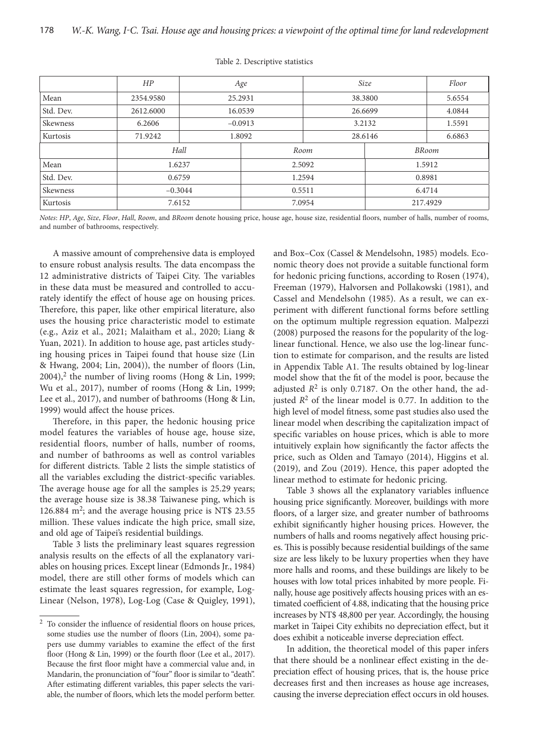|           | HP        | Age     |           | Size    |              | Floor  |
|-----------|-----------|---------|-----------|---------|--------------|--------|
| Mean      | 2354.9580 | 25.2931 |           | 38.3800 |              | 5.6554 |
| Std. Dev. | 2612.6000 |         | 16.0539   | 26.6699 |              | 4.0844 |
| Skewness  | 6.2606    |         | $-0.0913$ | 3.2132  |              | 1.5591 |
| Kurtosis  | 71.9242   | 1.8092  |           | 28.6146 |              | 6.6863 |
|           | Hall      |         | Room      |         | <b>BRoom</b> |        |
| Mean      | 1.6237    |         | 2.5092    |         | 1.5912       |        |
| Std. Dev. | 0.6759    |         | 1.2594    |         | 0.8981       |        |
| Skewness  | $-0.3044$ |         | 0.5511    |         | 6.4714       |        |
| Kurtosis  | 7.6152    |         | 7.0954    |         | 217.4929     |        |

#### Table 2. Descriptive statistics

*Notes*: *HP*, *Age*, *Size*, *Floor*, *Hall*, *Room*, and *BRoom* denote housing price, house age, house size, residential floors, number of halls, number of rooms, and number of bathrooms, respectively.

A massive amount of comprehensive data is employed to ensure robust analysis results. The data encompass the 12 administrative districts of Taipei City. The variables in these data must be measured and controlled to accurately identify the effect of house age on housing prices. Therefore, this paper, like other empirical literature, also uses the housing price characteristic model to estimate (e.g., Aziz et al., 2021; Malaitham et al., 2020; Liang & Yuan, 2021). In addition to house age, past articles studying housing prices in Taipei found that house size (Lin & Hwang, 2004; Lin, 2004)), the number of floors (Lin,  $2004$ ,<sup>2</sup> the number of living rooms (Hong & Lin, 1999; Wu et al., 2017), number of rooms (Hong & Lin, 1999; Lee et al., 2017), and number of bathrooms (Hong & Lin, 1999) would affect the house prices.

Therefore, in this paper, the hedonic housing price model features the variables of house age, house size, residential floors, number of halls, number of rooms, and number of bathrooms as well as control variables for different districts. Table 2 lists the simple statistics of all the variables excluding the district-specific variables. The average house age for all the samples is 25.29 years; the average house size is 38.38 Taiwanese ping, which is 126.884 m<sup>2</sup>; and the average housing price is NT\$ 23.55 million. These values indicate the high price, small size, and old age of Taipei's residential buildings.

Table 3 lists the preliminary least squares regression analysis results on the effects of all the explanatory variables on housing prices. Except linear (Edmonds Jr., 1984) model, there are still other forms of models which can estimate the least squares regression, for example, Log-Linear (Nelson, 1978), Log-Log (Case & Quigley, 1991),

and Box–Cox (Cassel & Mendelsohn, 1985) models. Economic theory does not provide a suitable functional form for hedonic pricing functions, according to Rosen (1974), Freeman (1979), Halvorsen and Pollakowski (1981), and Cassel and Mendelsohn (1985). As a result, we can experiment with different functional forms before settling on the optimum multiple regression equation. Malpezzi (2008) purposed the reasons for the popularity of the loglinear functional. Hence, we also use the log-linear function to estimate for comparison, and the results are listed in Appendix Table A1. The results obtained by log-linear model show that the fit of the model is poor, because the adjusted  $R^2$  is only 0.7187. On the other hand, the adjusted  $R^2$  of the linear model is 0.77. In addition to the high level of model fitness, some past studies also used the linear model when describing the capitalization impact of specific variables on house prices, which is able to more intuitively explain how significantly the factor affects the price, such as Olden and Tamayo (2014), Higgins et al. (2019), and Zou (2019). Hence, this paper adopted the linear method to estimate for hedonic pricing.

Table 3 shows all the explanatory variables influence housing price significantly. Moreover, buildings with more floors, of a larger size, and greater number of bathrooms exhibit significantly higher housing prices. However, the numbers of halls and rooms negatively affect housing prices. This is possibly because residential buildings of the same size are less likely to be luxury properties when they have more halls and rooms, and these buildings are likely to be houses with low total prices inhabited by more people. Finally, house age positively affects housing prices with an estimated coefficient of 4.88, indicating that the housing price increases by NT\$ 48,800 per year. Accordingly, the housing market in Taipei City exhibits no depreciation effect, but it does exhibit a noticeable inverse depreciation effect.

In addition, the theoretical model of this paper infers that there should be a nonlinear effect existing in the depreciation effect of housing prices, that is, the house price decreases first and then increases as house age increases, causing the inverse depreciation effect occurs in old houses.

<sup>2</sup> To consider the influence of residential floors on house prices, some studies use the number of floors (Lin, 2004), some papers use dummy variables to examine the effect of the first floor (Hong & Lin, 1999) or the fourth floor (Lee et al., 2017). Because the first floor might have a commercial value and, in Mandarin, the pronunciation of "four" floor is similar to "death". After estimating different variables, this paper selects the variable, the number of floors, which lets the model perform better.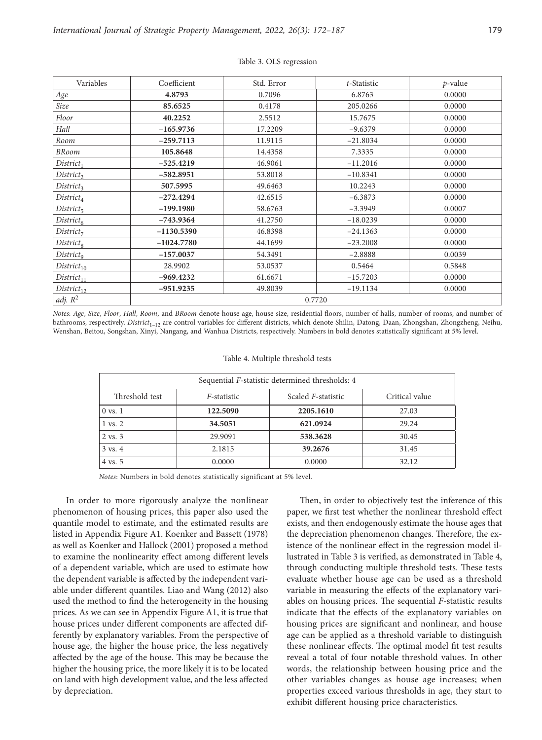| Variables              | Coefficient  | Std. Error | t-Statistic | $p$ -value |  |  |
|------------------------|--------------|------------|-------------|------------|--|--|
| Age                    | 4.8793       | 0.7096     | 6.8763      | 0.0000     |  |  |
| Size                   | 85.6525      | 0.4178     | 205.0266    | 0.0000     |  |  |
| Floor                  | 40.2252      | 2.5512     | 15.7675     | 0.0000     |  |  |
| Hall                   | $-165.9736$  | 17.2209    | $-9.6379$   | 0.0000     |  |  |
| Room                   | $-259.7113$  | 11.9115    | $-21.8034$  | 0.0000     |  |  |
| <b>BRoom</b>           | 105.8648     | 14.4358    | 7.3335      | 0.0000     |  |  |
| $District_1$           | $-525.4219$  | 46.9061    | $-11.2016$  | 0.0000     |  |  |
| District <sub>2</sub>  | $-582.8951$  | 53.8018    | $-10.8341$  | 0.0000     |  |  |
| District <sub>3</sub>  | 507.5995     | 49.6463    | 10.2243     | 0.0000     |  |  |
| $District_4$           | $-272.4294$  | 42.6515    | $-6.3873$   | 0.0000     |  |  |
| $District_5$           | $-199.1980$  | 58.6763    | $-3.3949$   | 0.0007     |  |  |
| District <sub>6</sub>  | $-743.9364$  | 41.2750    | $-18.0239$  | 0.0000     |  |  |
| District <sub>7</sub>  | $-1130.5390$ | 46.8398    | $-24.1363$  | 0.0000     |  |  |
| District <sub>8</sub>  | $-1024.7780$ | 44.1699    | $-23.2008$  | 0.0000     |  |  |
| District <sub>9</sub>  | $-157.0037$  | 54.3491    | $-2.8888$   | 0.0039     |  |  |
| District <sub>10</sub> | 28.9902      | 53.0537    | 0.5464      | 0.5848     |  |  |
| $District_{11}$        | $-969.4232$  | 61.6671    | $-15.7203$  | 0.0000     |  |  |
| $District_{12}$        | $-951.9235$  | 49.8039    | $-19.1134$  | 0.0000     |  |  |
| adj. $R^2$             | 0.7720       |            |             |            |  |  |

## Table 3. OLS regression

*Notes*: *Age*, *Size*, *Floor*, *Hall*, *Room*, and *BRoom* denote house age, house size, residential floors, number of halls, number of rooms, and number of bathrooms, respectively. *District*<sub>1–12</sub> are control variables for different districts, which denote Shilin, Datong, Daan, Zhongshan, Zhongzheng, Neihu, Wenshan, Beitou, Songshan, Xinyi, Nangang, and Wanhua Districts, respectively. Numbers in bold denotes statistically significant at 5% level.

#### Table 4. Multiple threshold tests

| Sequential <i>F</i> -statistic determined thresholds: 4 |             |                            |                |  |  |  |
|---------------------------------------------------------|-------------|----------------------------|----------------|--|--|--|
| Threshold test                                          | F-statistic | Scaled <i>F</i> -statistic | Critical value |  |  |  |
| $0 \text{ vs. } 1$                                      | 122.5090    | 2205.1610                  | 27.03          |  |  |  |
| $1 \text{ vs. } 2$                                      | 34.5051     | 621.0924                   | 29.24          |  |  |  |
| $2 \text{ vs. } 3$                                      | 29.9091     | 538.3628                   | 30.45          |  |  |  |
| $3 \text{ vs. } 4$                                      | 2.1815      | 39.2676                    | 31.45          |  |  |  |
| 4 vs. 5                                                 | 0.0000      | 0.0000                     | 32.12          |  |  |  |

*Notes*: Numbers in bold denotes statistically significant at 5% level.

In order to more rigorously analyze the nonlinear phenomenon of housing prices, this paper also used the quantile model to estimate, and the estimated results are listed in Appendix Figure A1. Koenker and Bassett (1978) as well as Koenker and Hallock (2001) proposed a method to examine the nonlinearity effect among different levels of a dependent variable, which are used to estimate how the dependent variable is affected by the independent variable under different quantiles. Liao and Wang (2012) also used the method to find the heterogeneity in the housing prices. As we can see in Appendix Figure A1, it is true that house prices under different components are affected differently by explanatory variables. From the perspective of house age, the higher the house price, the less negatively affected by the age of the house. This may be because the higher the housing price, the more likely it is to be located on land with high development value, and the less affected by depreciation.

Then, in order to objectively test the inference of this paper, we first test whether the nonlinear threshold effect exists, and then endogenously estimate the house ages that the depreciation phenomenon changes. Therefore, the existence of the nonlinear effect in the regression model illustrated in Table 3 is verified, as demonstrated in Table 4, through conducting multiple threshold tests. These tests evaluate whether house age can be used as a threshold variable in measuring the effects of the explanatory variables on housing prices. The sequential *F*-statistic results indicate that the effects of the explanatory variables on housing prices are significant and nonlinear, and house age can be applied as a threshold variable to distinguish these nonlinear effects. The optimal model fit test results reveal a total of four notable threshold values. In other words, the relationship between housing price and the other variables changes as house age increases; when properties exceed various thresholds in age, they start to exhibit different housing price characteristics.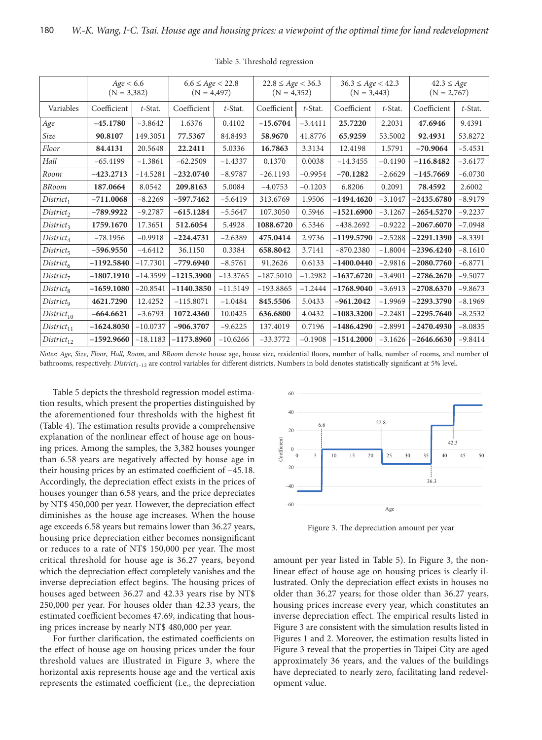|                        | Age < 6.6<br>$(N = 3,382)$ |            | $6.6 \le Age < 22.8$<br>$(N = 4,497)$ |            | $22.8 \le Age < 36.3$<br>$(N = 4,352)$ |            | $36.3 \le Age < 42.3$<br>$(N = 3,443)$ |            | $42.3 \leq Age$<br>$(N = 2,767)$ |            |
|------------------------|----------------------------|------------|---------------------------------------|------------|----------------------------------------|------------|----------------------------------------|------------|----------------------------------|------------|
| Variables              | Coefficient                | $t$ -Stat. | Coefficient                           | $t$ -Stat. | Coefficient                            | $t$ -Stat. | Coefficient                            | $t$ -Stat. | Coefficient                      | $t$ -Stat. |
| Age                    | $-45.1780$                 | $-3.8642$  | 1.6376                                | 0.4102     | $-15.6704$                             | $-3.4411$  | 25.7220                                | 2.2031     | 47.6946                          | 9.4391     |
| Size                   | 90.8107                    | 149.3051   | 77.5367                               | 84.8493    | 58.9670                                | 41.8776    | 65.9259                                | 53.5002    | 92.4931                          | 53.8272    |
| Floor                  | 84.4131                    | 20.5648    | 22.2411                               | 5.0336     | 16.7863                                | 3.3134     | 12.4198                                | 1.5791     | $-70.9064$                       | $-5.4531$  |
| Hall                   | $-65.4199$                 | $-1.3861$  | $-62.2509$                            | $-1.4337$  | 0.1370                                 | 0.0038     | $-14.3455$                             | $-0.4190$  | $-116.8482$                      | $-3.6177$  |
| Room                   | $-423.2713$                | $-14.5281$ | $-232.0740$                           | $-8.9787$  | $-26.1193$                             | $-0.9954$  | $-70.1282$                             | $-2.6629$  | $-145.7669$                      | $-6.0730$  |
| <b>BRoom</b>           | 187.0664                   | 8.0542     | 209.8163                              | 5.0084     | $-4.0753$                              | $-0.1203$  | 6.8206                                 | 0.2091     | 78.4592                          | 2.6002     |
| $District_1$           | $-711.0068$                | $-8.2269$  | $-597.7462$                           | $-5.6419$  | 313.6769                               | 1.9506     | $-1494.4620$                           | $-3.1047$  | $-2435.6780$                     | $-8.9179$  |
| District <sub>2</sub>  | $-789.9922$                | $-9.2787$  | $-615.1284$                           | $-5.5647$  | 107.3050                               | 0.5946     | $-1521.6900$                           | $-3.1267$  | $-2654.5270$                     | $-9.2237$  |
| District <sub>3</sub>  | 1759.1670                  | 17.3651    | 512.6054                              | 5.4928     | 1088.6720                              | 6.5346     | $-438.2692$                            | $-0.9222$  | $-2067.6070$                     | $-7.0948$  |
| $District_4$           | $-78.1956$                 | $-0.9918$  | $-224.4731$                           | $-2.6389$  | 475.0414                               | 2.9736     | $-1199.5790$                           | $-2.5288$  | $-2291.1390$                     | $-8.3391$  |
| $District_5$           | $-596.9550$                | $-4.6412$  | 36.1150                               | 0.3384     | 658.8042                               | 3.7141     | $-870.2380$                            | $-1.8004$  | $-2396.4240$                     | $-8.1610$  |
| $District_6$           | $-1192.5840$               | $-17.7301$ | $-779.6940$                           | $-8.5761$  | 91.2626                                | 0.6133     | $-1400.0440$                           | $-2.9816$  | $-2080.7760$                     | $-6.8771$  |
| District <sub>7</sub>  | $-1807.1910$               | $-14.3599$ | $-1215.3900$                          | $-13.3765$ | $-187.5010$                            | $-1.2982$  | $-1637.6720$                           | $-3.4901$  | $-2786.2670$                     | $-9.5077$  |
| District <sub>8</sub>  | $-1659.1080$               | $-20.8541$ | $-1140.3850$                          | $-11.5149$ | $-193.8865$                            | $-1.2444$  | $-1768.9040$                           | $-3.6913$  | $-2708.6370$                     | $-9.8673$  |
| District <sub>9</sub>  | 4621.7290                  | 12.4252    | $-115.8071$                           | $-1.0484$  | 845.5506                               | 5.0433     | $-961.2042$                            | $-1.9969$  | $-2293.3790$                     | $-8.1969$  |
| District <sub>10</sub> | $-664.6621$                | $-3.6793$  | 1072.4360                             | 10.0425    | 636.6800                               | 4.0432     | $-1083.3200$                           | $-2.2481$  | $-2295.7640$                     | $-8.2532$  |
| District <sub>11</sub> | $-1624.8050$               | $-10.0737$ | $-906.3707$                           | $-9.6225$  | 137.4019                               | 0.7196     | $-1486.4290$                           | $-2.8991$  | $-2470.4930$                     | $-8.0835$  |
| $District_{12}$        | $-1592.9660$               | $-18.1183$ | $-1173.8960$                          | $-10.6266$ | $-33.3772$                             | $-0.1908$  | $-1514.2000$                           | $-3.1626$  | $-2646,6630$                     | $-9.8414$  |

Table 5. Threshold regression

*Notes*: *Age*, *Size*, *Floor*, *Hall*, *Room*, and *BRoom* denote house age, house size, residential floors, number of halls, number of rooms, and number of bathrooms, respectively. *District*<sub>1–12</sub> are control variables for different districts. Numbers in bold denotes statistically significant at 5% level.

Table 5 depicts the threshold regression model estimation results, which present the properties distinguished by the aforementioned four thresholds with the highest fit (Table 4). The estimation results provide a comprehensive explanation of the nonlinear effect of house age on housing prices. Among the samples, the 3,382 houses younger than 6.58 years are negatively affected by house age in their housing prices by an estimated coefficient of −45.18. Accordingly, the depreciation effect exists in the prices of houses younger than 6.58 years, and the price depreciates by NT\$ 450,000 per year. However, the depreciation effect diminishes as the house age increases. When the house age exceeds 6.58 years but remains lower than 36.27 years, housing price depreciation either becomes nonsignificant or reduces to a rate of NT\$ 150,000 per year. The most critical threshold for house age is 36.27 years, beyond which the depreciation effect completely vanishes and the inverse depreciation effect begins. The housing prices of houses aged between 36.27 and 42.33 years rise by NT\$ 250,000 per year. For houses older than 42.33 years, the estimated coefficient becomes 47.69, indicating that housing prices increase by nearly NT\$ 480,000 per year.

For further clarification, the estimated coefficients on the effect of house age on housing prices under the four threshold values are illustrated in Figure 3, where the horizontal axis represents house age and the vertical axis represents the estimated coefficient (i.e., the depreciation



Figure 3. The depreciation amount per year

amount per year listed in Table 5). In Figure 3, the nonlinear effect of house age on housing prices is clearly illustrated. Only the depreciation effect exists in houses no older than 36.27 years; for those older than 36.27 years, housing prices increase every year, which constitutes an inverse depreciation effect. The empirical results listed in Figure 3 are consistent with the simulation results listed in Figures 1 and 2. Moreover, the estimation results listed in Figure 3 reveal that the properties in Taipei City are aged approximately 36 years, and the values of the buildings have depreciated to nearly zero, facilitating land redevelopment value.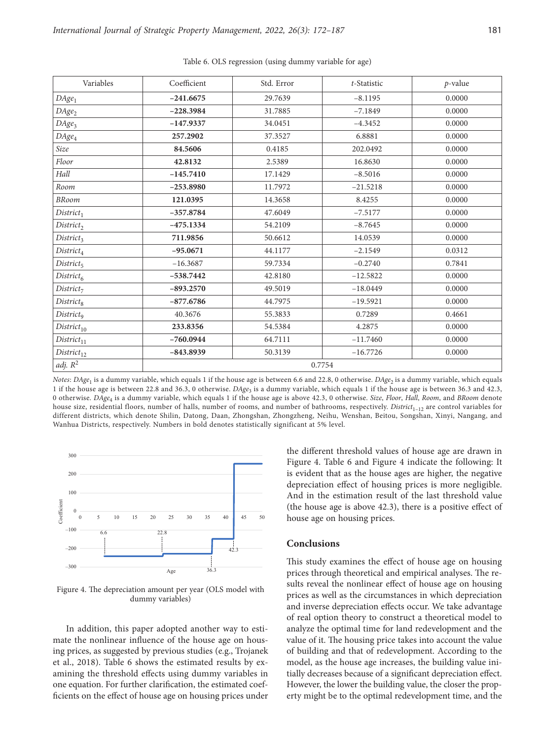| Variables              | Coefficient | Std. Error | t-Statistic | $p$ -value |  |
|------------------------|-------------|------------|-------------|------------|--|
| $DAge_1$               | $-241.6675$ | 29.7639    | $-8.1195$   | 0.0000     |  |
| $DAge_2$               | $-228.3984$ | 31.7885    | $-7.1849$   | 0.0000     |  |
| DAge <sub>3</sub>      | $-147.9337$ | 34.0451    | $-4.3452$   | 0.0000     |  |
| $DAge_4$               | 257.2902    | 37.3527    | 6.8881      | 0.0000     |  |
| Size                   | 84.5606     | 0.4185     | 202.0492    | 0.0000     |  |
| Floor                  | 42.8132     | 2.5389     | 16.8630     | 0.0000     |  |
| Hall                   | $-145.7410$ | 17.1429    | $-8.5016$   | 0.0000     |  |
| Room                   | $-253.8980$ | 11.7972    | $-21.5218$  | 0.0000     |  |
| <b>BRoom</b>           | 121.0395    | 14.3658    | 8.4255      | 0.0000     |  |
| District <sub>1</sub>  | $-357.8784$ | 47.6049    | $-7.5177$   | 0.0000     |  |
| District <sub>2</sub>  | $-475.1334$ | 54.2109    | $-8.7645$   | 0.0000     |  |
| District <sub>3</sub>  | 711.9856    | 50.6612    | 14.0539     | 0.0000     |  |
| $District_4$           | $-95.0671$  | 44.1177    | $-2.1549$   | 0.0312     |  |
| $District_5$           | $-16.3687$  | 59.7334    | $-0.2740$   | 0.7841     |  |
| $District_6$           | $-538.7442$ | 42.8180    | $-12.5822$  | 0.0000     |  |
| District <sub>7</sub>  | $-893.2570$ | 49.5019    | $-18.0449$  | 0.0000     |  |
| District <sub>8</sub>  | $-877.6786$ | 44.7975    | $-19.5921$  | 0.0000     |  |
| District <sub>9</sub>  | 40.3676     | 55.3833    | 0.7289      | 0.4661     |  |
| District <sub>10</sub> | 233.8356    | 54.5384    | 4.2875      | 0.0000     |  |
| District <sub>11</sub> | $-760.0944$ | 64.7111    | $-11.7460$  | 0.0000     |  |
| $District_{12}$        | $-843.8939$ | 50.3139    | $-16.7726$  | 0.0000     |  |
| adj. $R^2$             | 0.7754      |            |             |            |  |

Table 6. OLS regression (using dummy variable for age)

*Notes*: *DAge*<sub>1</sub> is a dummy variable, which equals 1 if the house age is between 6.6 and 22.8, 0 otherwise. *DAge*<sub>2</sub> is a dummy variable, which equals 1 if the house age is between 22.8 and 36.3, 0 otherwise. *DAge*<sub>3</sub> is a dummy variable, which equals 1 if the house age is between 36.3 and 42.3, 0 otherwise. *DAge*4 is a dummy variable, which equals 1 if the house age is above 42.3, 0 otherwise. *Size*, *Floor*, *Hall*, *Room*, and *BRoom* denote house size, residential floors, number of halls, number of rooms, and number of bathrooms, respectively. *District*<sub>1–12</sub> are control variables for different districts, which denote Shilin, Datong, Daan, Zhongshan, Zhongzheng, Neihu, Wenshan, Beitou, Songshan, Xinyi, Nangang, and Wanhua Districts, respectively. Numbers in bold denotes statistically significant at 5% level.



Figure 4. The depreciation amount per year (OLS model with dummy variables)

In addition, this paper adopted another way to estimate the nonlinear influence of the house age on housing prices, as suggested by previous studies (e.g., Trojanek et al., 2018). Table 6 shows the estimated results by examining the threshold effects using dummy variables in one equation. For further clarification, the estimated coefficients on the effect of house age on housing prices under the different threshold values of house age are drawn in Figure 4. Table 6 and Figure 4 indicate the following: It is evident that as the house ages are higher, the negative depreciation effect of housing prices is more negligible. And in the estimation result of the last threshold value (the house age is above 42.3), there is a positive effect of house age on housing prices.

# **Conclusions**

This study examines the effect of house age on housing prices through theoretical and empirical analyses. The results reveal the nonlinear effect of house age on housing prices as well as the circumstances in which depreciation and inverse depreciation effects occur. We take advantage of real option theory to construct a theoretical model to analyze the optimal time for land redevelopment and the value of it. The housing price takes into account the value of building and that of redevelopment. According to the model, as the house age increases, the building value initially decreases because of a significant depreciation effect. However, the lower the building value, the closer the property might be to the optimal redevelopment time, and the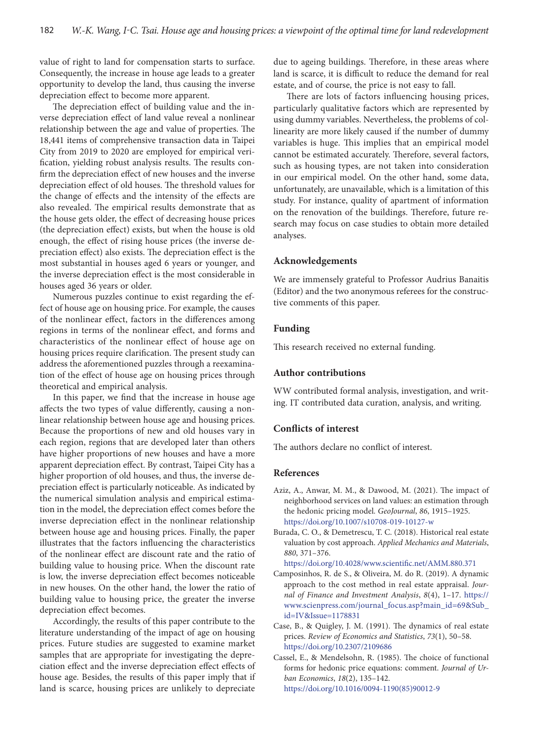value of right to land for compensation starts to surface. Consequently, the increase in house age leads to a greater opportunity to develop the land, thus causing the inverse depreciation effect to become more apparent.

The depreciation effect of building value and the inverse depreciation effect of land value reveal a nonlinear relationship between the age and value of properties. The 18,441 items of comprehensive transaction data in Taipei City from 2019 to 2020 are employed for empirical verification, yielding robust analysis results. The results confirm the depreciation effect of new houses and the inverse depreciation effect of old houses. The threshold values for the change of effects and the intensity of the effects are also revealed. The empirical results demonstrate that as the house gets older, the effect of decreasing house prices (the depreciation effect) exists, but when the house is old enough, the effect of rising house prices (the inverse depreciation effect) also exists. The depreciation effect is the most substantial in houses aged 6 years or younger, and the inverse depreciation effect is the most considerable in houses aged 36 years or older.

Numerous puzzles continue to exist regarding the effect of house age on housing price. For example, the causes of the nonlinear effect, factors in the differences among regions in terms of the nonlinear effect, and forms and characteristics of the nonlinear effect of house age on housing prices require clarification. The present study can address the aforementioned puzzles through a reexamination of the effect of house age on housing prices through theoretical and empirical analysis.

In this paper, we find that the increase in house age affects the two types of value differently, causing a nonlinear relationship between house age and housing prices. Because the proportions of new and old houses vary in each region, regions that are developed later than others have higher proportions of new houses and have a more apparent depreciation effect. By contrast, Taipei City has a higher proportion of old houses, and thus, the inverse depreciation effect is particularly noticeable. As indicated by the numerical simulation analysis and empirical estimation in the model, the depreciation effect comes before the inverse depreciation effect in the nonlinear relationship between house age and housing prices. Finally, the paper illustrates that the factors influencing the characteristics of the nonlinear effect are discount rate and the ratio of building value to housing price. When the discount rate is low, the inverse depreciation effect becomes noticeable in new houses. On the other hand, the lower the ratio of building value to housing price, the greater the inverse depreciation effect becomes.

Accordingly, the results of this paper contribute to the literature understanding of the impact of age on housing prices. Future studies are suggested to examine market samples that are appropriate for investigating the depreciation effect and the inverse depreciation effect effects of house age. Besides, the results of this paper imply that if land is scarce, housing prices are unlikely to depreciate

due to ageing buildings. Therefore, in these areas where land is scarce, it is difficult to reduce the demand for real estate, and of course, the price is not easy to fall.

There are lots of factors influencing housing prices, particularly qualitative factors which are represented by using dummy variables. Nevertheless, the problems of collinearity are more likely caused if the number of dummy variables is huge. This implies that an empirical model cannot be estimated accurately. Therefore, several factors, such as housing types, are not taken into consideration in our empirical model. On the other hand, some data, unfortunately, are unavailable, which is a limitation of this study. For instance, quality of apartment of information on the renovation of the buildings. Therefore, future research may focus on case studies to obtain more detailed analyses.

## **Acknowledgements**

We are immensely grateful to Professor Audrius Banaitis (Editor) and the two anonymous referees for the constructive comments of this paper.

# **Funding**

This research received no external funding.

# **Author contributions**

WW contributed formal analysis, investigation, and writing. IT contributed data curation, analysis, and writing.

# **Conflicts of interest**

The authors declare no conflict of interest.

#### **References**

- Aziz, A., Anwar, M. M., & Dawood, M. (2021). The impact of neighborhood services on land values: an estimation through the hedonic pricing model. *GeoJournal*, *86*, 1915–1925. <https://doi.org/10.1007/s10708-019-10127-w>
- Burada, C. O., & Demetrescu, T. C. (2018). Historical real estate valuation by cost approach. *Applied Mechanics and Materials*, *880*, 371–376.

<https://doi.org/10.4028/www.scientific.net/AMM.880.371>

- Camposinhos, R. de S., & Oliveira, M. do R. (2019). A dynamic approach to the cost method in real estate appraisal. *Journal of Finance and Investment Analysis*, *8*(4), 1–17. [https://](https://www.scienpress.com/journal_focus.asp?main_id=69&Sub_id=IV&Issue=1178831) [www.scienpress.com/journal\\_focus.asp?main\\_id=69&Sub\\_](https://www.scienpress.com/journal_focus.asp?main_id=69&Sub_id=IV&Issue=1178831) [id=IV&Issue=1178831](https://www.scienpress.com/journal_focus.asp?main_id=69&Sub_id=IV&Issue=1178831)
- Case, B., & Quigley, J. M. (1991). The dynamics of real estate prices. *Review of Economics and Statistics*, *73*(1), 50–58. <https://doi.org/10.2307/2109686>
- Cassel, E., & Mendelsohn, R. (1985). The choice of functional forms for hedonic price equations: comment. *Journal of Urban Economics*, *18*(2), 135–142. [https://doi.org/10.1016/0094-1190\(85\)90012-9](https://doi.org/10.1016/0094-1190(85)90012-9)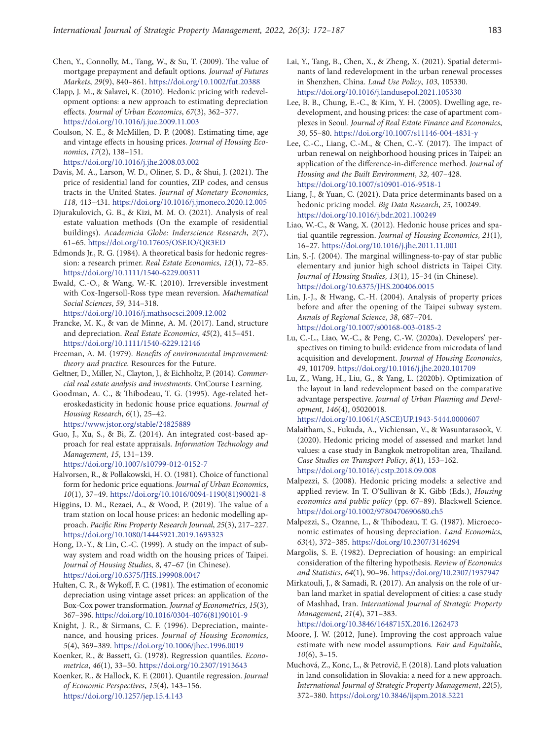- Chen, Y., Connolly, M., Tang, W., & Su, T. (2009). The value of mortgage prepayment and default options. *Journal of Futures Markets*, *29*(9), 840–861. <https://doi.org/10.1002/fut.20388>
- Clapp, J. M., & Salavei, K. (2010). Hedonic pricing with redevelopment options: a new approach to estimating depreciation effects. *Journal of Urban Economics*, *67*(3), 362–377. <https://doi.org/10.1016/j.jue.2009.11.003>
- Coulson, N. E., & McMillen, D. P. (2008). Estimating time, age and vintage effects in housing prices. *Journal of Housing Economics*, *17*(2), 138–151.
- <https://doi.org/10.1016/j.jhe.2008.03.002> Davis, M. A., Larson, W. D., Oliner, S. D., & Shui, J. (2021). The
- price of residential land for counties, ZIP codes, and census tracts in the United States. *Journal of Monetary Economics*, *118*, 413–431. <https://doi.org/10.1016/j.jmoneco.2020.12.005>
- Djurakulovich, G. B., & Kizi, M. M. O. (2021). Analysis of real estate valuation methods (On the example of residential buildings). *Academicia Globe: Inderscience Research*, *2*(7), 61–65.<https://doi.org/10.17605/OSF.IO/QR3ED>
- Edmonds Jr., R. G. (1984). A theoretical basis for hedonic regression: a research primer. *Real Estate Economics*, *12*(1), 72–85. <https://doi.org/10.1111/1540-6229.00311>
- Ewald, C.-O., & Wang, W.-K. (2010). Irreversible investment with Cox-Ingersoll-Ross type mean reversion. *Mathematical Social Sciences*, *59*, 314–318. <https://doi.org/10.1016/j.mathsocsci.2009.12.002>
- Francke, M. K., & van de Minne, A. M. (2017). Land, structure and depreciation. *Real Estate Economics*, *45*(2), 415–451.
- <https://doi.org/10.1111/1540-6229.12146>
- Freeman, A. M. (1979). *Benefits of environmental improvement: theory and practice*. Resources for the Future.
- Geltner, D., Miller, N., Clayton, J., & Eichholtz, P. (2014). *Commercial real estate analysis and investments*. OnCourse Learning.
- Goodman, A. C., & Thibodeau, T. G. (1995). Age-related heteroskedasticity in hedonic house price equations. *Journal of Housing Research*, *6*(1), 25–42. <https://www.jstor.org/stable/24825889>
- Guo, J., Xu, S., & Bi, Z. (2014). An integrated cost-based ap-
- proach for real estate appraisals. *Information Technology and Management*, *15*, 131–139.

<https://doi.org/10.1007/s10799-012-0152-7>

- Halvorsen, R., & Pollakowski, H. O. (1981). Choice of functional form for hedonic price equations. *Journal of Urban Economics*, *10*(1), 37–49. [https://doi.org/10.1016/0094-1190\(81\)90021-8](https://doi.org/10.1016/0094-1190(81)90021-8)
- Higgins, D. M., Rezaei, A., & Wood, P. (2019). The value of a tram station on local house prices: an hedonic modelling approach. *Pacific Rim Property Research Journal*, *25*(3), 217–227. <https://doi.org/10.1080/14445921.2019.1693323>
- Hong, D.-Y., & Lin, C.-C. (1999). A study on the impact of subway system and road width on the housing prices of Taipei. *Journal of Housing Studies*, *8*, 47–67 (in Chinese). <https://doi.org/10.6375/JHS.199908.0047>
- Hulten, C. R., & Wykoff, F. C. (1981). The estimation of economic depreciation using vintage asset prices: an application of the Box-Cox power transformation. *Journal of Econometrics*, *15*(3), 367–396. [https://doi.org/10.1016/0304-4076\(81\)90101-9](https://doi.org/10.1016/0304-4076(81)90101-9)
- Knight, J. R., & Sirmans, C. F. (1996). Depreciation, maintenance, and housing prices. *Journal of Housing Economics*, *5*(4), 369–389.<https://doi.org/10.1006/jhec.1996.0019>
- Koenker, R., & Bassett, G. (1978). Regression quantiles. *Econometrica*, *46*(1), 33–50.<https://doi.org/10.2307/1913643>
- Koenker, R., & Hallock, K. F. (2001). Quantile regression. *Journal of Economic Perspectives*, *15*(4), 143–156. <https://doi.org/10.1257/jep.15.4.143>
- Lai, Y., Tang, B., Chen, X., & Zheng, X. (2021). Spatial determinants of land redevelopment in the urban renewal processes in Shenzhen, China. *Land Use Policy*, *103*, 105330. <https://doi.org/10.1016/j.landusepol.2021.105330>
- Lee, B. B., Chung, E.-C., & Kim, Y. H. (2005). Dwelling age, redevelopment, and housing prices: the case of apartment complexes in Seoul. *Journal of Real Estate Finance and Economics*, *30*, 55–80.<https://doi.org/10.1007/s11146-004-4831-y>
- Lee, C.-C., Liang, C.-M., & Chen, C.-Y. (2017). The impact of urban renewal on neighborhood housing prices in Taipei: an application of the difference-in-difference method. *Journal of Housing and the Built Environment*, *32*, 407–428. [https://doi.org/10.1007/s10901-016-9518-1](https://doi.org/10.1007/s10901-016-9518-1 )
- Liang, J., & Yuan, C. (2021). Data price determinants based on a hedonic pricing model. *Big Data Research*, *25*, 100249. <https://doi.org/10.1016/j.bdr.2021.100249>
- Liao, W.-C., & Wang, X. (2012). Hedonic house prices and spatial quantile regression. *Journal of Housing Economics*, *21*(1), 16–27. <https://doi.org/10.1016/j.jhe.2011.11.001>
- Lin, S.-J. (2004). The marginal willingness-to-pay of star public elementary and junior high school districts in Taipei City. *Journal of Housing Studies*, *13*(1), 15–34 (in Chinese). <https://doi.org/10.6375/JHS.200406.0015>
- Lin, J.-J., & Hwang, C.-H. (2004). Analysis of property prices before and after the opening of the Taipei subway system. *Annals of Regional Science*, *38*, 687–704. <https://doi.org/10.1007/s00168-003-0185-2>
- Lu, C.-L., Liao, W.-C., & Peng, C.-W. (2020a). Developers' perspectives on timing to build: evidence from microdata of land acquisition and development. *Journal of Housing Economics*, *49*, 101709. <https://doi.org/10.1016/j.jhe.2020.101709>
- Lu, Z., Wang, H., Liu, G., & Yang, L. (2020b). Optimization of the layout in land redevelopment based on the comparative advantage perspective. *Journal of Urban Planning and Development*, *146*(4), 05020018. [https://doi.org/10.1061/\(ASCE\)UP.1943-5444.0000607](https://doi.org/10.1061/(ASCE)UP.1943-5444.0000607)
- Malaitham, S., Fukuda, A., Vichiensan, V., & Wasuntarasook, V. (2020). Hedonic pricing model of assessed and market land values: a case study in Bangkok metropolitan area, Thailand. *Case Studies on Transport Policy*, *8*(1), 153–162. <https://doi.org/10.1016/j.cstp.2018.09.008>
- Malpezzi, S. (2008). Hedonic pricing models: a selective and applied review. In T. O'Sullivan & K. Gibb (Eds.), *Housing economics and public policy* (pp. 67–89). Blackwell Science. <https://doi.org/10.1002/9780470690680.ch5>
- Malpezzi, S., Ozanne, L., & Thibodeau, T. G. (1987). Microeconomic estimates of housing depreciation. *Land Economics*, *63*(4), 372–385. <https://doi.org/10.2307/3146294>
- Margolis, S. E. (1982). Depreciation of housing: an empirical consideration of the filtering hypothesis. *Review of Economics and Statistics*, *64*(1), 90–96. <https://doi.org/10.2307/1937947>
- Mirkatouli, J., & Samadi, R. (2017). An analysis on the role of urban land market in spatial development of cities: a case study of Mashhad, Iran. *International Journal of Strategic Property Management*, *21*(4), 371–383.
	- <https://doi.org/10.3846/1648715X.2016.1262473>
- Moore, J. W. (2012, June). Improving the cost approach value estimate with new model assumptions*. Fair and Equitable*, *10*(6), 3–15.
- Muchová, Z., Konc, L., & Petrovič, F. (2018). Land plots valuation in land consolidation in Slovakia: a need for a new approach. *International Journal of Strategic Property Management*, *22*(5), 372–380. [https://doi.org/10.3846/ijspm.2018.5221](https://doi.org/10.3846/ijspm.2018.5221 )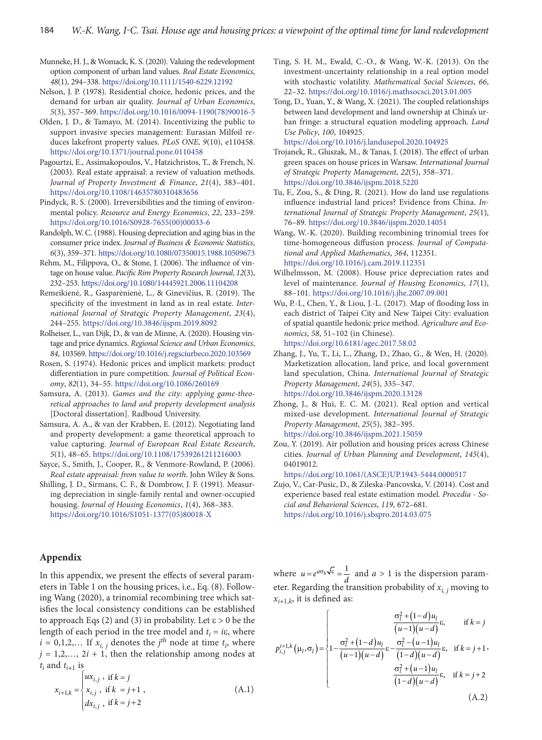- Munneke, H. J., & Womack, K. S. (2020). Valuing the redevelopment option component of urban land values. *Real Estate Economics*, *48*(1), 294–338. <https://doi.org/10.1111/1540-6229.12192>
- Nelson, J. P. (1978). Residential choice, hedonic prices, and the demand for urban air quality. *Journal of Urban Economics*, *5*(3), 357–369. [https://doi.org/10.1016/0094-1190\(78\)90016-5](https://doi.org/10.1016/0094-1190(78)90016-5)
- Olden, J. D., & Tamayo, M. (2014). Incentivizing the public to support invasive species management: Eurasian Milfoil reduces lakefront property values. *PLoS ONE*, *9*(10), e110458. <https://doi.org/10.1371/journal.pone.0110458>
- Pagourtzi, E., Assimakopoulos, V., Hatzichristos, T., & French, N. (2003). Real estate appraisal: a review of valuation methods. *Journal of Property Investment & Finance*, *21*(4), 383–401. <https://doi.org/10.1108/14635780310483656>
- Pindyck, R. S. (2000). Irreversibilities and the timing of environmental policy. *Resource and Energy Economics*, *22*, 233–259. [https://doi.org/10.1016/S0928-7655\(00\)00033-6](https://doi.org/10.1016/S0928-7655(00)00033-6)
- Randolph, W. C. (1988). Housing depreciation and aging bias in the consumer price index. *Journal of Business & Economic Statistics*, *6*(3), 359–371. <https://doi.org/10.1080/07350015.1988.10509673>
- Rehm, M., Filippova, O., & Stone, J. (2006). The influence of vintage on house value. *Pacific Rim Property Research Journal*, *12*(3), 232–253.<https://doi.org/10.1080/14445921.2006.11104208>
- Remeikienė, R., Gasparėnienė, L., & Ginevičius, R. (2019). The specificity of the investment in land as in real estate. *International Journal of Strategic Property Management*, *23*(4), 244–255. <https://doi.org/10.3846/ijspm.2019.8092>
- Rolheiser, L., van Dijk, D., & van de Minne, A. (2020). Housing vintage and price dynamics. *Regional Science and Urban Economics*, *84*, 103569. <https://doi.org/10.1016/j.regsciurbeco.2020.103569>
- Rosen, S. (1974). Hedonic prices and implicit markets: product differentiation in pure competition. *Journal of Political Economy*, *82*(1), 34–55.<https://doi.org/10.1086/260169>
- Samsura, A. (2013). *Games and the city: applying game-theoretical approaches to land and property development analysis* [Doctoral dissertation]. Radboud University.
- Samsura, A. A., & van der Krabben, E. (2012). Negotiating land and property development: a game theoretical approach to value capturing. *Journal of European Real Estate Research*, *5*(1), 48–65. <https://doi.org/10.1108/17539261211216003>
- Sayce, S., Smith, J., Cooper, R., & Venmore-Rowland, P. (2006). *Real estate appraisal: from value to worth*. John Wiley & Sons.
- Shilling, J. D., Sirmans, C. F., & Dombrow, J. F. (1991). Measuring depreciation in single-family rental and owner-occupied housing. *Journal of Housing Economics*, *1*(4), 368–383. [https://doi.org/10.1016/S1051-1377\(05\)80018-X](https://doi.org/10.1016/S1051-1377(05)80018-X)

# **Appendix**

In this appendix, we present the effects of several parameters in Table 1 on the housing prices, i.e., Eq. (8). Following Wang (2020), a trinomial recombining tree which satisfies the local consistency conditions can be established to approach Eqs (2) and (3) in probability. Let  $\varepsilon > 0$  be the length of each period in the tree model and  $t_i = i\varepsilon$ , where  $i = 0,1,2,...$  If  $x_{i,j}$  denotes the *j*<sup>th</sup> node at time  $t_i$ , where  $j = 1, 2, \ldots, 2i + 1$ , then the relationship among nodes at  $t_i$  and  $t_{i+1}$  is

$$
x_{i+1,k} = \begin{cases} ux_{i,j} , \text{ if } k = j \\ x_{i,j} , \text{ if } k = j+1 \\ dx_{i,j} , \text{ if } k = j+2 \end{cases}
$$
 (A.1)

- Ting, S. H. M., Ewald, C.-O., & Wang, W.-K. (2013). On the investment-uncertainty relationship in a real option model with stochastic volatility. *Mathematical Social Sciences*, *66*, 22–32. <https://doi.org/10.1016/j.mathsocsci.2013.01.005>
- Tong, D., Yuan, Y., & Wang, X. (2021). The coupled relationships between land development and land ownership at China's urban fringe: a structural equation modeling approach. *Land Use Policy*, *100*, 104925.
	- <https://doi.org/10.1016/j.landusepol.2020.104925>
- Trojanek, R., Gluszak, M., & Tanas, J. (2018). The effect of urban green spaces on house prices in Warsaw. *International Journal of Strategic Property Management*, *22*(5), 358–371. [https://doi.org/10.3846/ijspm.2018.5220](https://doi.org/10.3846/ijspm.2018.5220  )
- Tu, F., Zou, S., & Ding, R. (2021). How do land use regulations influence industrial land prices? Evidence from China. *International Journal of Strategic Property Management*, *25*(1), 76–89. <https://doi.org/10.3846/ijspm.2020.14051>
- Wang, W.-K. (2020). Building recombining trinomial trees for time-homogeneous diffusion process. *Journal of Computational and Applied Mathematics*, *364*, 112351. <https://doi.org/10.1016/j.cam.2019.112351>
- Wilhelmsson, M. (2008). House price depreciation rates and level of maintenance. *Journal of Housing Economics*, *17*(1), 88–101. <https://doi.org/10.1016/j.jhe.2007.09.001>
- Wu, P.-I., Chen, Y., & Liou, J.-L. (2017). Map of flooding loss in each district of Taipei City and New Taipei City: evaluation of spatial quantile hedonic price method. *Agriculture and Economics*, *58*, 51–102 (in Chinese). <https://doi.org/10.6181/agec.2017.58.02>
- Zhang, J., Yu, T., Li, L., Zhang, D., Zhao, G., & Wen, H. (2020). Marketization allocation, land price, and local government land speculation, China. *International Journal of Strategic Property Management*, *24*(5), 335–347. <https://doi.org/10.3846/ijspm.2020.13128>
- Zhong, J., & Hui, E. C. M. (2021). Real option and vertical mixed-use development. *International Journal of Strategic Property Management*, *25*(5), 382–395. <https://doi.org/10.3846/ijspm.2021.15059>
- Zou, Y. (2019). Air pollution and housing prices across Chinese cities. *Journal of Urban Planning and Development*, *145*(4), 04019012.

[https://doi.org/10.1061/\(ASCE\)UP.1943-5444.0000517](https://doi.org/10.1061/(ASCE)UP.1943-5444.0000517)

Zujo, V., Car-Pusic, D., & Zileska-Pancovska, V. (2014). Cost and experience based real estate estimation model. *Procedia - Social and Behavioral Sciences*, *119*, 672–681. <https://doi.org/10.1016/j.sbspro.2014.03.075>

where  $u = e^{a\sigma_b \sqrt{\epsilon}} = \frac{1}{d}$  and  $a > 1$  is the dispersion parameter. Regarding the transition probability of  $x_{i,j}$  moving to  $x_{i+1,k}$ , it is defined as:

$$
p_{i,j}^{i+1,k}(\mu_l, \sigma_l) = \begin{cases} \n\frac{\sigma_l^2 + (1-d)u_l}{(u-1)(u-d)} \varepsilon, & \text{if } k = j \\
1 - \frac{\sigma_l^2 + (1-d)u_l}{(u-1)(u-d)} \varepsilon - \frac{\sigma_l^2 - (u-1)u_l}{(1-d)(u-d)} \varepsilon, & \text{if } k = j+1, \\
\frac{\sigma_l^2 + (u-1)u_l}{(1-d)(u-d)} \varepsilon, & \text{if } k = j+2\n\end{cases} \tag{A.2}
$$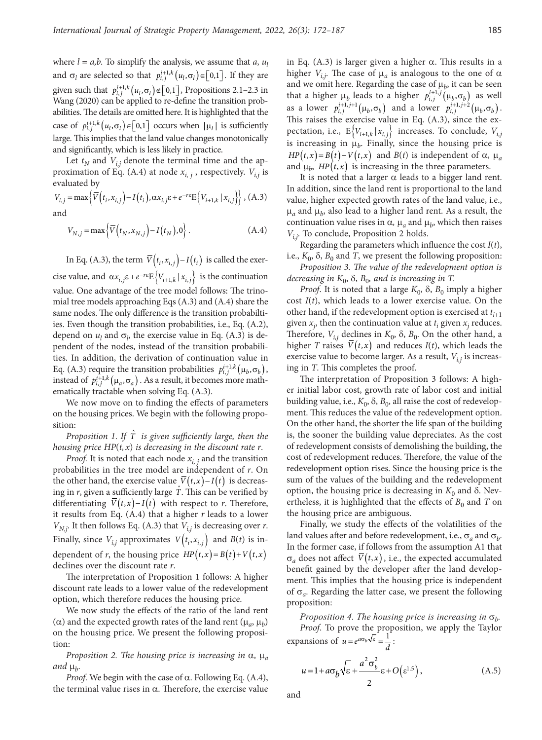where  $l = a,b$ . To simplify the analysis, we assume that  $a, u_l$ and  $\sigma_l$  are selected so that  $p_{i,j}^{i+1,k}(u_l, \sigma_l) \in [0,1]$ . If they are given such that  $p_{i,j}^{i+1,k}(u_i, \sigma_i) \notin [0,1]$ , Propositions 2.1–2.3 in Wang (2020) can be applied to re-define the transition probabilities. The details are omitted here. It is highlighted that the case of  $p_{i,j}^{i+1,k}(u_i, \sigma_i) \in [0,1]$  occurs when  $|u_i|$  is sufficiently large. This implies that the land value changes monotonically and significantly, which is less likely in practice.

Let  $t_N$  and  $V_{i,j}$  denote the terminal time and the approximation of Eq. (A.4) at node  $x_{i, j}$ , respectively.  $V_{i, j}$  is evaluated by

$$
V_{i,j} = \max \left\{ \overline{V}(t_i, x_{i,j}) - I(t_i), \alpha x_{i,j} \varepsilon + e^{-r \varepsilon} E\left\{ V_{i+1,k} | x_{i,j} \right\} \right\}, (A.3)
$$
 and

$$
V_{N,j} = \max \left\{ \overline{V} \left( t_N, x_{N,j} \right) - I \left( t_N \right), 0 \right\}.
$$
 (A.4)

In Eq. (A.3), the term  $\overline{V}(t_i, x_{i,i}) - I(t_i)$  is called the exercise value, and  $\alpha x_{i,j} \varepsilon + e^{-r \varepsilon} E \left\{ V_{i+1,k} | x_{i,j} \right\}$  is the continuation value. One advantage of the tree model follows: The trinomial tree models approaching Eqs (A.3) and (A.4) share the same nodes. The only difference is the transition probabiltiies. Even though the transition probabilities, i.e., Eq. (A.2), depend on  $u_l$  and  $\sigma_l$ , the exercise value in Eq. (A.3) is dependent of the nodes, instead of the transition probabilities. In addition, the derivation of continuation value in Eq. (A.3) require the transition probabilities  $p_{i,j}^{i+1,k} (\mu_b, \sigma_b)$ , instead of  $p_{i,j}^{i+1,k}(\mu_a, \sigma_a)$ . As a result, it becomes more mathematically tractable when solving Eq. (A.3).

We now move on to finding the effects of parameters on the housing prices. We begin with the following proposition:

*Proposition 1*. *If* <sup>ˆ</sup> *T is given sufficiently large, then the housing price HP*(*t, x*) *is decreasing in the discount rate r*.

*Proof.* It is noted that each node  $x_{i,j}$  and the transition probabilities in the tree model are independent of *r*. On the other hand, the exercise value  $\overline{V}(t,x) - I(t)$  is decreasing in *r*, given a sufficiently large <sup>ˆ</sup> *T*. This can be verified by differentiating  $\overline{V}(t,x) - I(t)$  with respect to *r*. Therefore, it results from Eq. (A.4) that a higher *r* leads to a lower  $V_{N,j}$ . It then follows Eq. (A.3) that  $V_{i,j}$  is decreasing over *r*. Finally, since  $V_{i,j}$  approximates  $V(t_i, x_{i,j})$  and  $B(t)$  is independent of *r*, the housing price  $HP(t,x) = B(t) + V(t,x)$ declines over the discount rate *r*.

The interpretation of Proposition 1 follows: A higher discount rate leads to a lower value of the redevelopment option, which therefore reduces the housing price.

We now study the effects of the ratio of the land rent ( $\alpha$ ) and the expected growth rates of the land rent ( $\mu_a$ ,  $\mu_b$ ) on the housing price. We present the following proposition:

*Proposition 2. The housing price is increasing in*  $\alpha$ ,  $\mu_a$ and  $\mu_h$ .

*Proof.* We begin with the case of  $\alpha$ . Following Eq. (A.4), the terminal value rises in α. Therefore, the exercise value

in Eq.  $(A.3)$  is larger given a higher  $\alpha$ . This results in a higher  $V_{i,j}$ . The case of  $\mu_a$  is analogous to the one of  $\alpha$ and we omit here. Regarding the case of  $\mu_b$ , it can be seen that a higher  $\mu_b$  leads to a higher  $p_{i,j}^{i+1,j}(\mu_b, \sigma_b)$  as well as a lower  $p_{i,j}^{i+1,j+1}(\mu_b, \sigma_b)$  and a lower  $p_{i,j}^{i+1,j+2}(\mu_b, \sigma_b)$ . This raises the exercise value in Eq. (A.3), since the expectation, i.e.,  $E\{V_{i+1,k} | x_{i,j}\}\$  increases. To conclude,  $V_{i,j}$ is increasing in  $\mu_b$ . Finally, since the housing price is  $HP(t, x) = B(t) + V(t, x)$  and  $B(t)$  is independent of  $\alpha$ ,  $\mu_a$ and  $\mu_b$ , *HP*(*t*,*x*) is increasing in the three parameters.

It is noted that a larger  $\alpha$  leads to a bigger land rent. In addition, since the land rent is proportional to the land value, higher expected growth rates of the land value, i.e.,  $\mu_a$  and  $\mu_b$ , also lead to a higher land rent. As a result, the continuation value rises in  $\alpha$ ,  $\mu_a$  and  $\mu_b$ , which then raises *Vi,j*. To conclude, Proposition 2 holds.

Regarding the parameters which influence the cost *I*(*t*), i.e.,  $K_0$ ,  $\delta$ ,  $B_0$  and *T*, we present the following proposition:

*Proposition 3. The value of the redevelopment option is decreasing in*  $K_0$ ,  $\delta$ ,  $B_0$ *, and is increasing in* T.

*Proof.* It is noted that a large  $K_0$ ,  $\delta$ ,  $B_0$  imply a higher cost *I*(*t*), which leads to a lower exercise value. On the other hand, if the redevelopment option is exercised at  $t_{i+1}$ given  $x_j$ , then the continuation value at  $t_i$  given  $x_j$  reduces. Therefore,  $V_{i,j}$  declines in  $K_0$ ,  $\delta$ ,  $B_0$ . On the other hand, a higher *T* raises  $\overline{V}(t,x)$  and reduces *I*(*t*), which leads the exercise value to become larger. As a result,  $V_{i,j}$  is increasing in *T*. This completes the proof.

The interpretation of Proposition 3 follows: A higher initial labor cost, growth rate of labor cost and initial building value, i.e.,  $K_0$ ,  $\delta$ ,  $B_0$ , all raise the cost of redevelopment. This reduces the value of the redevelopment option. On the other hand, the shorter the life span of the building is, the sooner the building value depreciates. As the cost of redevelopment consists of demolishing the building, the cost of redevelopment reduces. Therefore, the value of the redevelopment option rises. Since the housing price is the sum of the values of the building and the redevelopment option, the housing price is decreasing in  $K_0$  and  $\delta$ . Nevertheless, it is highlighted that the effects of  $B_0$  and  $T$  on the housing price are ambiguous.

Finally, we study the effects of the volatilities of the land values after and before redevelopment, i.e.,  $\sigma_a$  and  $\sigma_b$ . In the former case, if follows from the assumption A1 that  $\sigma_a$  does not affect  $\overline{V}(t,x)$ , i.e., the expected accumulated benefit gained by the developer after the land development. This implies that the housing price is independent of  $\sigma_a$ . Regarding the latter case, we present the following proposition:

*Proposition 4. The housing price is increasing in*  $\sigma_b$ . *Proof*. To prove the proposition, we apply the Taylor expansions of  $u = e^{a\sigma_b \sqrt{\varepsilon}} = \frac{1}{d}$ .

$$
u = 1 + a\sigma_b \sqrt{\varepsilon} + \frac{a^2 \sigma_b^2}{2} \varepsilon + O(\varepsilon^{1.5}),
$$
 (A.5)

and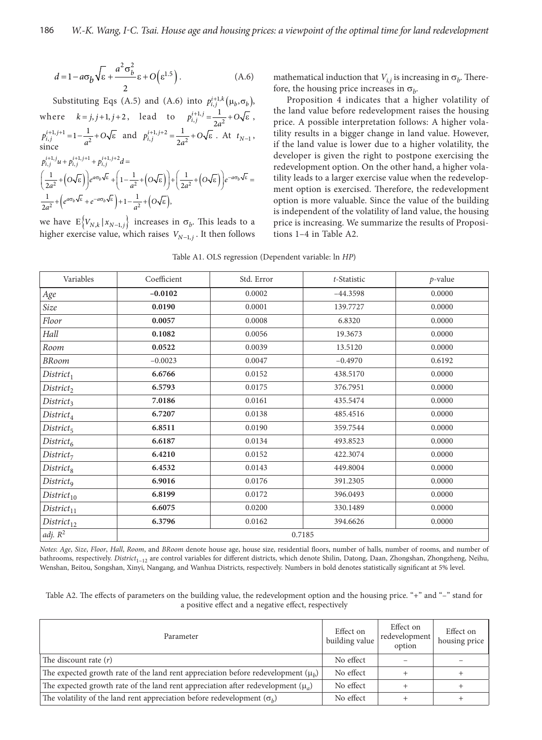$$
d = 1 - a\sigma_b \sqrt{\varepsilon} + \frac{a^2 \sigma_b^2}{2} \varepsilon + O(\varepsilon^{1.5}).
$$
 (A.6)

Substituting Eqs (A.5) and (A.6) into  $p_{i,j}^{i+1,k}(\mu_b, \sigma_b)$ , where  $k = j, j+1, j+2$ , lead to  $p_{i,j}^{i+1,j} = \frac{1}{2a^2}$ 1 2  $p_{i,j}^{i+1,j} = \frac{1}{2a^2} + O\sqrt{\epsilon}$ ,  $1, j+1$ <br> $j$  =  $1 - \frac{1}{a^2}$  $p_{i,j}^{i+1,j+1} = 1 - \frac{1}{a^2} + O\sqrt{\epsilon}$  and  $p_{i,j}^{i+1,j+2} = \frac{1}{2a^2}$ 1 2  $p_{i,j}^{i+1,j+2} = \frac{1}{2a^2} + O\sqrt{\varepsilon}$ . At  $t_{N-1}$ , since  $\frac{1}{2} + (O\sqrt{\epsilon})e^{a\omega_b\nu_c} + (1-\frac{1}{a^2}+(O\sqrt{\epsilon})) + (\frac{1}{2a^2}+(O\sqrt{\epsilon}))$  $\frac{1}{2}$  +  $\left(e^{a\theta_b\Delta\epsilon}+e^{-a\theta_b\Delta\epsilon}\right)+1-\frac{1}{a^2}$  +  $\left(O\sqrt{\epsilon}\right)$  $p_{i,j}^{i+1,j}u + p_{i,j}^{i+1,j+1} + p_{i,j}^{i+1,j+2}d =$  $\left(\frac{1}{2a^2}+\left(O\sqrt{\varepsilon}\right)\right)e^{a\sigma_b\sqrt{\varepsilon}}+\left(1-\frac{1}{a^2}+\left(O\sqrt{\varepsilon}\right)\right)+\left(\frac{1}{2a^2}+\left(O\sqrt{\varepsilon}\right)\right)e^{-a\sigma_b\sqrt{\varepsilon}}=$  $\frac{1}{2a^2} + \left(e^{a\sigma_b\sqrt{\epsilon}} + e^{-a\sigma_b\sqrt{\epsilon}}\right) + 1 - \frac{1}{a^2} + \left(O\sqrt{\epsilon}\right),$ 

we have  $E\{V_{N,k} | x_{N-1,j}\}\$  increases in  $\sigma_b$ . This leads to a higher exercise value, which raises  $V_{N-1,i}$ . It then follows mathematical induction that  $V_{i,j}$  is increasing in  $\sigma_b$ . Therefore, the housing price increases in  $\sigma_b$ .

Proposition 4 indicates that a higher volatility of the land value before redevelopment raises the housing price. A possible interpretation follows: A higher volatility results in a bigger change in land value. However, if the land value is lower due to a higher volatility, the developer is given the right to postpone exercising the redevelopment option. On the other hand, a higher volatility leads to a larger exercise value when the redevelopment option is exercised. Therefore, the redevelopment option is more valuable. Since the value of the building is independent of the volatility of land value, the housing price is increasing. We summarize the results of Propositions 1–4 in Table A2.

|  |  |  |  | Table A1. OLS regression (Dependent variable: ln HP) |  |  |  |  |  |
|--|--|--|--|------------------------------------------------------|--|--|--|--|--|
|--|--|--|--|------------------------------------------------------|--|--|--|--|--|

| Variables              | Coefficient | Std. Error | t-Statistic | $p$ -value |  |  |
|------------------------|-------------|------------|-------------|------------|--|--|
| Age                    | $-0.0102$   | 0.0002     | $-44.3598$  | 0.0000     |  |  |
| Size                   | 0.0190      | 0.0001     | 139.7727    | 0.0000     |  |  |
| Floor                  | 0.0057      | 0.0008     | 6.8320      | 0.0000     |  |  |
| Hall                   | 0.1082      | 0.0056     | 19.3673     | 0.0000     |  |  |
| Room                   | 0.0522      | 0.0039     | 13.5120     | 0.0000     |  |  |
| <b>BRoom</b>           | $-0.0023$   | 0.0047     | $-0.4970$   | 0.6192     |  |  |
| $District_1$           | 6.6766      | 0.0152     | 438.5170    | 0.0000     |  |  |
| District <sub>2</sub>  | 6.5793      | 0.0175     | 376.7951    | 0.0000     |  |  |
| District <sub>3</sub>  | 7.0186      | 0.0161     | 435.5474    | 0.0000     |  |  |
| $District_4$           | 6.7207      | 0.0138     | 485.4516    | 0.0000     |  |  |
| $District_5$           | 6.8511      | 0.0190     | 359.7544    | 0.0000     |  |  |
| District <sub>6</sub>  | 6.6187      | 0.0134     | 493.8523    | 0.0000     |  |  |
| District <sub>7</sub>  | 6.4210      | 0.0152     | 422.3074    | 0.0000     |  |  |
| District <sub>8</sub>  | 6.4532      | 0.0143     | 449.8004    | 0.0000     |  |  |
| District <sub>9</sub>  | 6.9016      | 0.0176     | 391.2305    | 0.0000     |  |  |
| District <sub>10</sub> | 6.8199      | 0.0172     | 396.0493    | 0.0000     |  |  |
| District <sub>11</sub> | 6.6075      | 0.0200     | 330.1489    | 0.0000     |  |  |
| $District_{12}$        | 6.3796      | 0.0162     | 394.6626    | 0.0000     |  |  |
| adj. $R^2$             | 0.7185      |            |             |            |  |  |

*Notes*: *Age*, *Size*, *Floor*, *Hall*, *Room*, and *BRoom* denote house age, house size, residential floors, number of halls, number of rooms, and number of bathrooms, respectively. *District*<sub>1~12</sub> are control variables for different districts, which denote Shilin, Datong, Daan, Zhongshan, Zhongzheng, Neihu, Wenshan, Beitou, Songshan, Xinyi, Nangang, and Wanhua Districts, respectively. Numbers in bold denotes statistically significant at 5% level.

| Table A2. The effects of parameters on the building value, the redevelopment option and the housing price. "+" and "-" stand for |  |
|----------------------------------------------------------------------------------------------------------------------------------|--|
| a positive effect and a negative effect, respectively                                                                            |  |

| Parameter                                                                               | Effect on<br>building value | Effect on<br>redevelopment<br>option | Effect on<br>housing price |
|-----------------------------------------------------------------------------------------|-----------------------------|--------------------------------------|----------------------------|
| The discount rate $(r)$                                                                 | No effect                   |                                      |                            |
| The expected growth rate of the land rent appreciation before redevelopment ( $\mu_h$ ) | No effect                   |                                      |                            |
| The expected growth rate of the land rent appreciation after redevelopment $(\mu_a)$    | No effect                   |                                      |                            |
| The volatility of the land rent appreciation before redevelopment $(\sigma_h)$          | No effect                   |                                      |                            |